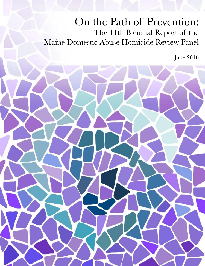## On the Path of Prevention: The 11th Biennial Report of the Maine Domestic Abuse Homicide Review Panel

**June 2016** 

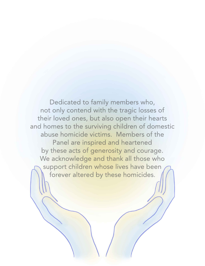Dedicated to family members who, not only contend with the tragic losses of their loved ones, but also open their hearts and homes to the surviving children of domestic abuse homicide victims. Members of the Panel are inspired and heartened by these acts of generosity and courage. We acknowledge and thank all those who support children whose lives have been forever altered by these homicides.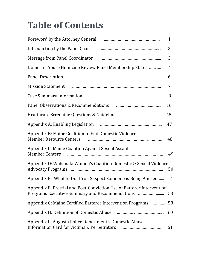# **Table of Contents**

| Foreword by the Attorney General manufacture manufacture in the Foreword by the Attorney General                        | $\mathbf{1}$   |
|-------------------------------------------------------------------------------------------------------------------------|----------------|
| Introduction by the Panel Chair Fannish Communication and Introduction by the Panel Chair                               | 2              |
|                                                                                                                         | 3              |
| Domestic Abuse Homicide Review Panel Membership 2016                                                                    | $\overline{4}$ |
|                                                                                                                         | 6              |
| Mission Statement <b>Mission</b> Statement <b>Mission</b> Statement <b>Mission</b>                                      | 7              |
|                                                                                                                         | 8              |
|                                                                                                                         | 16             |
|                                                                                                                         | 45             |
|                                                                                                                         | 47             |
| Appendix B: Maine Coalition to End Domestic Violence<br><b>Member Resource Centers</b>                                  | 48             |
| Appendix C: Maine Coalition Against Sexual Assault<br><b>Member Centers</b>                                             | 49             |
| Appendix D: Wabanaki Women's Coalition Domestic & Sexual Violence                                                       | 50             |
| Appendix E: What to Do if You Suspect Someone is Being Abused                                                           | 51             |
| Appendix F: Pretrial and Post-Conviction Use of Batterer Intervention<br>Programs Executive Summary and Recommendations | 53             |
| Appendix G: Maine Certified Batterer Intervention Programs                                                              | 58             |
|                                                                                                                         | 60             |
| Appendix I: Augusta Police Department's Domestic Abuse                                                                  | 61             |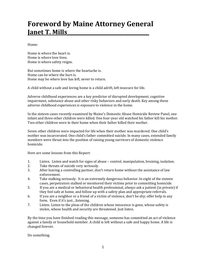## **Foreword by Maine Attorney General Janet T. Mills\_\_\_\_\_\_\_\_\_\_\_\_\_\_\_\_\_\_\_\_\_\_\_\_\_\_\_\_\_\_\_\_\_**

Home: 

Home is where the heart is. Home is where love lives. Home is where safety reigns.

But sometimes home is where the heartache is. Home can be where the hurt is. Home may be where love has left, never to return.

A child without a safe and loving home is a child adrift, left insecure for life.

Adverse childhood experiences are a key predictor of disrupted development, cognitive impairment, substance abuse and other risky behaviors and early death. Key among these adverse childhood experiences is exposure to violence in the home.

In the sixteen cases recently examined by Maine's Domestic Abuse Homicide Review Panel, one infant and three other children were killed. One four-year old watched his father kill his mother. Two other children were in their home when their father killed their mother.

Seven other children were impacted for life when their mother was murdered. One child's mother was incarcerated. One child's father committed suicide. In many cases, extended family members were thrust into the position of raising young survivors of domestic violence homicide. 

Here are some lessons from this Report:

- 1. Listen. Listen and watch for signs of abuse control, manipulation, bruising, isolation.
- 2. Take threats of suicide very seriously.
- 3. After leaving a controlling partner, don't return home without the assistance of law enforcement.
- 4. Take stalking seriously. It is an extremely dangerous behavior. In eight of the sixteen cases, perpetrators stalked or monitored their victims prior to committing homicide.
- 5. If you are a medical or behavioral health professional, *always* ask a patient (in private) if they feel safe at home, and follow up with a safety plan and appropriate referrals.
- 6. If you are a neighbor or a friend of a victim of violence, don't be shy; offer help in any form. Even if it's just...listening.
- 7. Listen. Listen to the pleas of the children whose innocence is gone, whose safety is stolen, whose health and security are threatened. Just listen.

By the time you have finished reading this message, someone has committed an act of violence against a family or household member. A child is left without a safe and happy home. A life is changed forever.

Do something.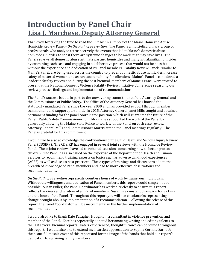## **Introduction by Panel Chair Lisa J. Marchese, Deputy Attorney General**

Thank you for taking the time to read the  $11<sup>th</sup>$  biennial report of the Maine Domestic Abuse Homicide Review Panel *- On the Path of Prevention*. The Panel is a multi-disciplinary group of professionals who analyze retrospectively the events that led to Maine's domestic abuse homicides in order to see if there are systemic changes to be made that may save lives. The Panel reviews all domestic abuse intimate partner homicides and many intrafamilial homicides by examining each case and engaging in a deliberative process that would not be possible without the experience and dedication of its Panel members. Fatality Review Panels, similar to Maine's Panel, are being used across the country to prevent domestic abuse homicides, increase safety of battered women and assure accountability for offenders. Maine's Panel is considered a leader in fatality review and during the past biennial, members of Maine's Panel were invited to present at the National Domestic Violence Fatality Review Initiative Conference regarding our review process, findings and implementation of recommendations.

The Panel's success is due, in part, to the unwavering commitment of the Attorney General and the Commissioner of Public Safety. The Office of the Attorney General has housed the statutorily mandated Panel since the year 2000 and has provided support through member commitment and support personnel. In 2015, Attorney General Janet Mills sought and obtained permanent funding for the panel coordinator position, which will guarantee the future of the Panel. Public Safety Commissioner John Morris has supported the work of the Panel by generously allowing the Maine State Police to work with the Panel on each case review. Attorney General Mills and Commissioner Morris attend the Panel meetings regularly. The Panel is grateful for this commitment.

I would like to also acknowledge the contributions of the Child Death and Serious Injury Review Panel (CDSIRP). The CDSIRP has engaged in several joint reviews with the Homicide Review Panel. These joint reviews have led to robust discussions concerning how to better protect children. The Panel has also called on the expertise of the Department of Health and Human Services to recommend training experts on topics such as adverse childhood experiences (ACES) as well as discuss best practices. These types of trainings and discussions add to the breadth of knowledge of Panel members and lead to more effective observations and recommendations. 

*On* the Path of Prevention represents countless hours of work by numerous individuals. Without the willingness and dedication of Panel members, this report would simply not be possible. Susan Fuller, the Panel Coordinator has worked tirelessly to ensure this report reflects the views and wisdom of all Panel members. Susan is a constant champion for victims and the heart of the Panel. Throughout this report you will see checkmarks representing change brought about by implementation of a recommendation. Following the release of this report, the Panel Coordinator will be instrumental in the further implementation of recommendations. 

I would also like to thank Kate Faragher Houghton, a consultant in violence prevention and member of the Panel. Kate has repeatedly donated her amazing writing and editing talents to the last several biennial reports. Kate's experienced, thoughtful voice can be found throughout this report. I would also like to extend my heartfelt appreciation to Sophia Corinne Sarno for the beautiful mosaic cover of this report and for the image of the hands that hold our report's dedication to surviving family members.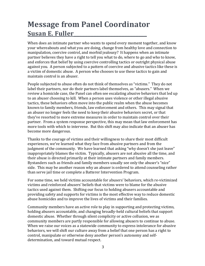## **Message from Panel Coordinator Susan E. Fuller\_\_\_\_\_\_\_\_\_\_\_\_\_\_\_\_\_\_\_\_\_\_\_\_\_\_**

When does an intimate partner who wants to spend every moment together, and know your whereabouts and what you are doing, change from healthy love and connection to manipulation, coercive control, and morbid jealousy? It happens when an intimate partner believes they have a right to tell you what to do, where to go and who to know, and enforces that belief by using coercive controlling tactics or outright physical abuse against you. A person subjected to a pattern of coercive and abusive tactics like these is a victim of domestic abuse. A person who chooses to use these tactics to gain and maintain control is an abuser.

People subjected to abuse often do not think of themselves as "victims." They do not label their partners, nor do their partners label themselves, as "abusers." When we review a homicide case, the Panel can often see escalating abusive behaviors that led up to an abuser choosing to kill. When a person uses violence or other illegal abusive tactics, these behaviors often move into the public realm when the abuse becomes known to family members, friends, law enforcement and others. This may signal that an abuser no longer feels the need to keep their abusive behaviors secret, or that they've resorted to more extreme measures in order to maintain control over their partner. From a system response perspective, this may mean that law enforcement has more tools with which to intervene. But this shift may also indicate that an abuser has become more dangerous.

Thanks to the courage of victims and their willingness to share their most difficult experiences, we've learned what they face from abusive partners and from the judgment of the community. We have learned that asking "why doesn't she just leave" inappropriately blames the victim. Typically, abusers are not abusive all the time, and their abuse is directed primarily at their intimate partners and family members. Bystanders such as friends and family members usually see only the abuser's "nice" side. This may be another reason why an abuser is ordered to attend counseling rather than serve jail time or complete a Batterer Intervention Program.

For some time, we held victims accountable for abusers' behaviors, which re-victimized victims and reinforced abusers' beliefs that victims were to blame for the abusive tactics used against them. Shifting our focus to holding abusers accountable and providing safety and supports for victims is the most effective way to reduce domestic abuse homicides and to improve the lives of victims and their families.

Community members have an active role to play in supporting and protecting victims, holding abusers accountable, and changing broadly-held cultural beliefs that support domestic abuse. Whether through silent complicity or active collusion, we as community members are partly responsible for allowing abusers to continue to abuse. When we raise our voices as a statewide community to express intolerance for abusive behaviors, we will shift our culture away from a belief that one person has a right to control, manipulate or otherwise deny another person's autonomy and selfdetermination, and toward mutual respect.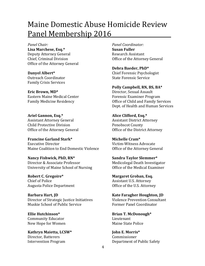## Maine Domestic Abuse Homicide Review <u>Panel Membership 2016</u>

**Panel Chair: Panel Coordinator: Lisa Marchese, Esq.\* Susan Fuller** Deputy Attorney General **Business** Research Assistant Chief, Criminal Division **Chief, Criminal Division Chief Chief Chief Chief Chief Chief Chief Chief Chief Chief Chief Chief Chief Chief Chief Chief Chief Chief Chief Chief Chief C** Office of the Attorney General

Family Crisis Services 

**Eric Brown, MD\*** Director, Sexual Assault Eastern Maine Medical Center **State Communist Contract Contract Contract** Forensic Examiner Program

**Ariel Gannon, Esq.\* Alice Clifford, Esq.\*** Assistant Attorney General **Assistant District Attorney** Child Protective Division **Busic County** Penobscot County Office of the Attorney General **Communist Contract Office** of the District Attorney

**Francine Garland Stark\* Michelle Cram\*** Executive Director bitclim-Witness Advocate Maine Coalition to End Domestic Violence **Office of the Attorney General** 

**Nancy Fishwick, PhD, RN\* Sandra Taylor Slemmer\*** Director & Associate Professor **Medicolegal Death Investigator** University of Maine School of Nursing **School** Office of the Medical Examiner

**Robert C. Gregoire\* Margaret Groban, Esq.** Chief of Police **Chief Assistant U.S. Attorney** Augusta Police Department *Calculary* Office of the U.S. Attorney

**Barbara Hart, JD Kate Faragher Houghton, JD** Director of Strategic Justice Initiatives **Wiolence Prevention Consultant** Muskie School of Public Service *Exercise Exercise Former Panel Coordinator* 

**Ellie Hutchinson\* Brian T. McDonough\*** Community Educator **Community** Educator *Lieutenant* New Hope for Women Maine State Police

**Kathryn Maietta, LCSW\* John E. Morris\*** Director, Batterers Commissioner

**Debra Baeder, PhD\* Danyel Albert\*** Chief Forensic Psychologist Outreach Coordinator **business** State Forensic Service

 **Polly Campbell, RN, BS, BA\*** Family Medicine Residency **Example 20** Office of Child and Family Services Dept. of Health and Human Services

Intervention Program **Department** of Public Safety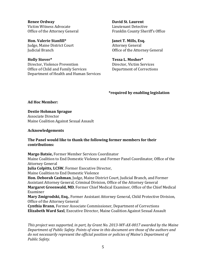**Renee Ordway David St. Laurent** Victim Witness Advocate *Nite State* **Lieutenant Detective** 

**Hon. Valerie Stanfill\* Janet T. Mills, Esq.** Iudge, Maine District Court **Attorney General** 

**Holly Stover\* Tessa L. Mosher\*** Director, Violence Prevention **Director**, Victim Services Office of Child and Family Services Department of Corrections Department of Health and Human Services

Office of the Attorney General **Example 1** Franklin County Sheriff's Office

Iudicial Branch **Internal and Communist** Contract Office of the Attorney General

#### **\*required by enabling legislation**

Ad Hoc Member:

**Destie Hohman Sprague Associate Director** Maine Coalition Against Sexual Assault

#### **Acknowledgements**

#### **The Panel would like to thank the following former members for their contributions:**

**Margo Batsie, Former Member Services Coordinator** Maine Coalition to End Domestic Violence and Former Panel Coordinator, Office of the Attorney General **Julia Colpitts, LCSW**, Former Executive Director, Maine Coalition to End Domestic Violence **Hon. Deborah Cashman**, Judge, Maine District Court, Judicial Branch, and Former Assistant Attorney General, Criminal Division, Office of the Attorney General **Margaret Greenwald, MD, Former Chief Medical Examiner, Office of the Chief Medical** Examiner **Mary Zmigrodski, Esq.**, Former Assistant Attorney General, Child Protective Division, Office of the Attorney General **Cynthia Brann, Former Associate Commissioner, Department of Corrections Elizabeth Ward Saxl**, Executive Director, Maine Coalition Against Sexual Assault

This project was supported, in part, by Grant No. 2013-WF-AX-0017 awarded by the Maine *Department of Public Safety. Points of view in this document are those of the authors and do not necessarily represent the official position or policies of Maine's Department of* **Public** Safety.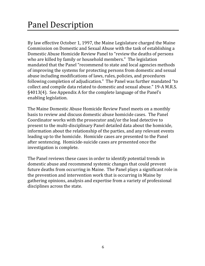# Panel Description

By law effective October 1, 1997, the Maine Legislature charged the Maine Commission on Domestic and Sexual Abuse with the task of establishing a Domestic Abuse Homicide Review Panel to "review the deaths of persons who are killed by family or household members." The legislation mandated that the Panel "recommend to state and local agencies methods of improving the systems for protecting persons from domestic and sexual abuse including modifications of laws, rules, policies, and procedures following completion of adjudication." The Panel was further mandated "to collect and compile data related to domestic and sexual abuse." 19-A M.R.S.  $\S4013(4)$ . See Appendix A for the complete language of the Panel's enabling legislation.

The Maine Domestic Abuse Homicide Review Panel meets on a monthly basis to review and discuss domestic abuse homicide cases. The Panel Coordinator works with the prosecutor and/or the lead detective to present to the multi-disciplinary Panel detailed data about the homicide, information about the relationship of the parties, and any relevant events leading up to the homicide. Homicide cases are presented to the Panel after sentencing. Homicide-suicide cases are presented once the investigation is complete.

The Panel reviews these cases in order to identify potential trends in domestic abuse and recommend systemic changes that could prevent future deaths from occurring in Maine. The Panel plays a significant role in the prevention and intervention work that is occurring in Maine by gathering opinions, analysis and expertise from a variety of professional disciplines across the state.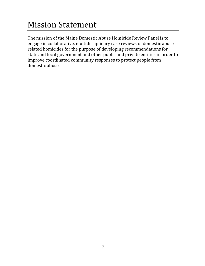# **Mission Statement**

The mission of the Maine Domestic Abuse Homicide Review Panel is to engage in collaborative, multidisciplinary case reviews of domestic abuse related homicides for the purpose of developing recommendations for state and local government and other public and private entities in order to improve coordinated community responses to protect people from domestic abuse.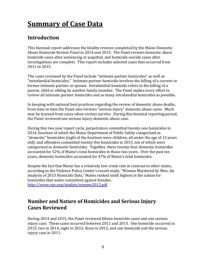## **Summary of Case Data**

## **Introduction**

This biennial report addresses the fatality reviews completed by the Maine Domestic Abuse Homicide Review Panel in 2014 and 2015. The Panel reviews domestic abuse homicide cases after sentencing or acquittal, and homicide-suicide cases after investigations are complete. This report includes selected cases that occurred from 2011 to 2015.

The cases reviewed by the Panel include "intimate partner homicides" as well as "intrafamilial homicides." Intimate partner homicide involves the killing of a current or former intimate partner or spouse. Intrafamilial homicide refers to the killing of a parent, child or sibling by another family member. The Panel makes every effort to review all intimate partner homicides and as many intrafamilial homicides as possible.

In keeping with national best practices regarding the review of domestic abuse deaths, from time to time the Panel also reviews "serious injury" domestic abuse cases. Much may be learned from cases when victims survive. During this biennial reporting period, the Panel reviewed one serious injury domestic abuse case.

During this two year report cycle, perpetrators committed twenty-one homicides in 2014, fourteen of which the Maine Department of Public Safety categorized as "domestic" homicides (eight of the fourteen were children, all under the age of 13 years old); and offenders committed twenty-five homicides in 2015, ten of which were categorized as domestic homicides. Together, these twenty-four domestic homicides accounted for 52% of Maine's total homicides in those two years. Over the past ten years, domestic homicides accounted for 47% of Maine's total homicides.

Despite the fact that Maine has a relatively low crime rate in contrast to other states, according to the Violence Policy Center's recent study, "Women Murdered by Men; An Analysis of 2013 Homicide Data," Maine ranked ninth highest in the nation for homicides that males committed against females. http://www.vpc.org/studies/wmmw2015.pdf

### **Number and Nature of Homicides and Serious Injury Cases Reviewed**

During 2014 and 2015, the Panel reviewed fifteen homicide cases and one serious injury case. These cases occurred between 2011 and 2015. One homicide occurred in  $2015$ , two in  $2014$ , eight in  $2013$ , three in  $2012$ , and one homicide and the serious injury case in 2011.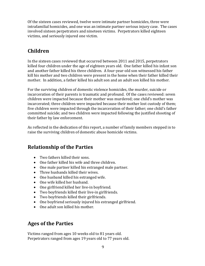Of the sixteen cases reviewed, twelve were intimate partner homicides, three were intrafamilial homicides, and one was an intimate partner serious injury case. The cases involved sixteen perpetrators and nineteen victims. Perpetrators killed eighteen victims, and seriously injured one victim.

## **Children**

In the sixteen cases reviewed that occurred between 2011 and 2015, perpetrators killed four children under the age of eighteen years old. One father killed his infant son and another father killed his three children. A four-year-old son witnessed his father kill his mother and two children were present in the home when their father killed their mother. In addition, a father killed his adult son and an adult son killed his mother.

For the surviving children of domestic violence homicides, the murder, suicide or incarceration of their parents is traumatic and profound. Of the cases reviewed: seven children were impacted because their mother was murdered; one child's mother was incarcerated; three children were impacted because their mother lost custody of them; five children were impacted through the incarceration of their father; one child's father committed suicide; and two children were impacted following the justified shooting of their father by law enforcement.

As reflected in the dedication of this report, a number of family members stepped in to raise the surviving children of domestic abuse homicide victims.

## **Relationship of the Parties**

- Two fathers killed their sons.
- One father killed his wife and three children.
- One male partner killed his estranged male partner.
- Three husbands killed their wives.
- One husband killed his estranged wife.
- One wife killed her husband.
- One girlfriend killed her live-in boyfriend.
- Two boyfriends killed their live-in girlfriends.
- Two boyfriends killed their girlfriends.
- One boyfriend seriously injured his estranged girlfriend.
- One adult son killed his mother.

### **Ages of the Parties**

Victims ranged from ages 10 weeks old to 81 years old. Perpetrators ranged from ages 19 years old to 77 years old.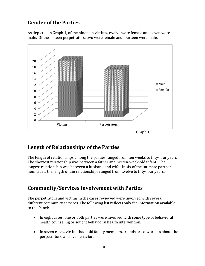## **Gender of the Parties**

As depicted in Graph 1, of the nineteen victims, twelve were female and seven were male. Of the sixteen perpetrators, two were female and fourteen were male.



### **Length of Relationships of the Parties**

The length of relationships among the parties ranged from ten weeks to fifty-four years. The shortest relationship was between a father and his ten-week-old infant. The longest relationship was between a husband and wife. In six of the intimate partner homicides, the length of the relationships ranged from twelve to fifty-four years.

### **Community/Services Involvement with Parties**

The perpetrators and victims in the cases reviewed were involved with several different community services. The following list reflects only the information available to the Panel:

- In eight cases, one or both parties were involved with some type of behavioral health counseling or sought behavioral health intervention.
- In seven cases, victims had told family members, friends or co-workers about the perpetrators' abusive behavior.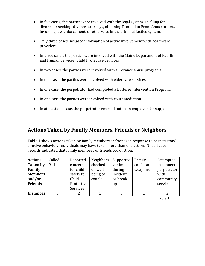- In five cases, the parties were involved with the legal system, i.e. filing for divorce or seeking divorce attorneys, obtaining Protection From Abuse orders, involving law enforcement, or otherwise in the criminal justice system.
- Only three cases included information of active involvement with healthcare providers.
- In three cases, the parties were involved with the Maine Department of Health and Human Services, Child Protective Services.
- In two cases, the parties were involved with substance abuse programs.
- In one case, the parties were involved with elder care services.
- In one case, the perpetrator had completed a Batterer Intervention Program.
- In one case, the parties were involved with court mediation.
- In at least one case, the perpetrator reached out to an employer for support.

### **Actions Taken by Family Members, Friends or Neighbors**

Table 1 shows actions taken by family members or friends in response to perpetrators' abusive behavior. Individuals may have taken more than one action. Not all case records indicated that family members or friends took action.

| <b>Actions</b>   | Called | Reported   | Neighbors | Supported | Family      | Attempted   |
|------------------|--------|------------|-----------|-----------|-------------|-------------|
| <b>Taken by</b>  | 911    | concerns   | checked   | victim    | confiscated | to connect  |
| Family           |        | for child  | on well-  | during    | weapons     | perpetrator |
| <b>Members</b>   |        | safety to  | being of  | incident  |             | with        |
| and/or           |        | Child      | couple    | or break  |             | community   |
| <b>Friends</b>   |        | Protective |           | up        |             | services    |
|                  |        | Services   |           |           |             |             |
| <b>Instances</b> |        |            |           |           |             |             |

Table 1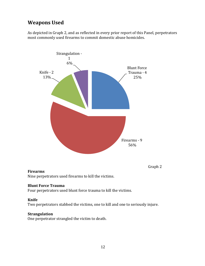## **Weapons** Used

As depicted in Graph 2, and as reflected in every prior report of this Panel, perpetrators most commonly used firearms to commit domestic abuse homicides.



#### **Firearms**

Nine perpetrators used firearms to kill the victims.

#### **Blunt Force Trauma**

Four perpetrators used blunt force trauma to kill the victims.

#### **Knife**

Two perpetrators stabbed the victims, one to kill and one to seriously injure.

#### **Strangulation**

One perpetrator strangled the victim to death.

Graph 2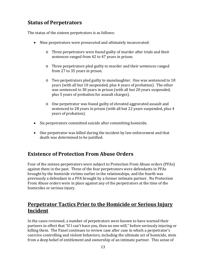## **Status of Perpetrators**

The status of the sixteen perpetrators is as follows:

- Nine perpetrators were prosecuted and ultimately incarcerated:
	- $\circ$  Three perpetrators were found guilty of murder after trials and their sentences ranged from 42 to 47 years in prison.
	- o Three perpetrators pled guilty to murder and their sentences ranged from 27 to 35 years in prison.
	- $\circ$  Two perpetrators pled guilty to manslaughter. One was sentenced to 18 years (with all but 10 suspended, plus 4 years of probation). The other was sentenced to 30 years in prison (with all but 20 years suspended, plus 5 years of probation for assault charges).
	- o One perpetrator was found guilty of elevated aggravated assault and sentenced to 28 years in prison (with all but 22 years suspended, plus 4 years of probation).
- Six perpetrators committed suicide after committing homicide.
- One perpetrator was killed during the incident by law enforcement and that death was determined to be justified.

### **Existence of Protection From Abuse Orders**

Four of the sixteen perpetrators were subject to Protection From Abuse orders (PFAs) against them in the past. Three of the four perpetrators were defendants in PFAs brought by the homicide victims earlier in the relationships, and the fourth was previously a defendant in a PFA brought by a former intimate partner. No Protection From Abuse orders were in place against any of the perpetrators at the time of the homicides or serious injury.

### **Perpetrator Tactics Prior to the Homicide or Serious Injury Incident**

In the cases reviewed, a number of perpetrators were known to have warned their partners in effect that "If I can't have you, then no one will," before seriously injuring or killing them. The Panel continues to review case after case in which a perpetrator's coercive controlling and violent behaviors, including the ultimate act of homicide, stem from a deep belief of entitlement and ownership of an intimate partner. This sense of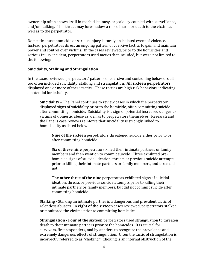ownership often shows itself in morbid jealousy, or jealousy coupled with surveillance, and/or stalking. This threat may foreshadow a risk of harm or death to the victim as well as to the perpetrator.

Domestic abuse homicide or serious injury is rarely an isolated event of violence. Instead, perpetrators direct an ongoing pattern of coercive tactics to gain and maintain power and control over victims. In the cases reviewed, prior to the homicides and serious injury incident, perpetrators used tactics that included, but were not limited to the following:

#### **Suicidality, Stalking and Strangulation**

In the cases reviewed, perpetrators' patterns of coercive and controlling behaviors all too often included suicidality, stalking and strangulation. All sixteen perpetrators displayed one or more of these tactics. These tactics are high risk behaviors indicating a potential for lethality.

**Suicidality** – The Panel continues to review cases in which the perpetrator displayed signs of suicidality prior to the homicide, often committing suicide after committing homicide. Suicidality is a sign of potential increased danger to victims of domestic abuse as well as to perpetrators themselves. Research and the Panel's case reviews reinforce that suicidality is strongly linked to homicidality as listed below:

**Nine of the sixteen** perpetrators threatened suicide either prior to or after committing homicide.

**Six of these nine** perpetrators killed their intimate partners or family members and then went on to commit suicide. Three exhibited prehomicide signs of suicidal ideation, threats or previous suicide attempts prior to killing their intimate partners or family members, and three did not.

**The other three of the nine** perpetrators exhibited signs of suicidal ideation, threats or previous suicide attempts prior to killing their intimate partners or family members, but did not commit suicide after committing homicide.

**Stalking** - Stalking an intimate partner is a dangerous and prevalent tactic of relentless abusers. In **eight of the sixteen** cases reviewed, perpetrators stalked or monitored the victims prior to committing homicides.

**Strangulation** - **Four of the sixteen** perpetrators used strangulation to threaten death to their intimate partners prior to the homicides. It is crucial for survivors, first responders, and bystanders to recognize the prevalence and extremely dangerous effects of strangulation. Often the tactic of strangulation is incorrectly referred to as "choking." Choking is an internal obstruction of the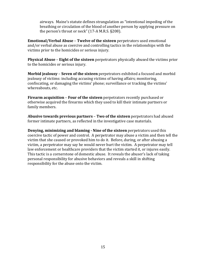airways. Maine's statute defines strangulation as "intentional impeding of the breathing or circulation of the blood of another person by applying pressure on the person's throat or neck"  $(17-A$  M.R.S. §208).

**Emotional/Verbal Abuse - Twelve of the sixteen** perpetrators used emotional and/or verbal abuse as coercive and controlling tactics in the relationships with the victims prior to the homicides or serious injury.

**Physical Abuse** – **Eight of the sixteen** perpetrators physically abused the victims prior to the homicides or serious injury.

**Morbid jealousy** – **Seven of the sixteen** perpetrators exhibited a focused and morbid jealousy of victims: including accusing victims of having affairs; monitoring, confiscating, or damaging the victims' phone; surveillance or tracking the victims' whereabouts, etc.

**Firearm acquisition** – **Four of the sixteen** perpetrators recently purchased or otherwise acquired the firearms which they used to kill their intimate partners or family members.

**Abusive towards previous partners - Two of the sixteen** perpetrators had abused former intimate partners, as reflected in the investigative case materials.

**Denying, minimizing and blaming - Nine of the sixteen** perpetrators used this coercive tactic of power and control. A perpetrator may abuse a victim and then tell the victim that she caused or provoked him to do it. Before, during, or after abusing a victim, a perpetrator may say he would never hurt the victim. A perpetrator may tell law enforcement or healthcare providers that the victim started it, or injures easily. This tactic is a cornerstone of domestic abuse. It reveals the abuser's lack of taking personal responsibility for abusive behaviors and reveals a skill in shifting responsibility for the abuse onto the victim.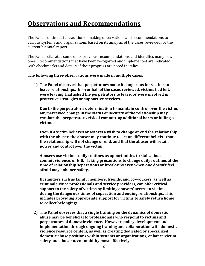## **Observations and Recommendations**

The Panel continues its tradition of making observations and recommendations to various systems and organizations based on its analysis of the cases reviewed for the current biennial report.

The Panel reiterates some of its previous recommendations and identifies many new ones. Recommendations that have been recognized and implemented are indicated with checkmarks and details of their progress are noted in italics.

#### **The following three observations were made in multiple cases:**

**1) The Panel observes that perpetrators make it dangerous for victims to leave relationships. In over half of the cases reviewed, victims had left, were leaving, had asked the perpetrators to leave, or were involved in protective strategies or supportive services.** 

**Due to the perpetrator's determination to maintain control over the victim, any perceived change in the status or security of the relationship may escalate the perpetrator's risk of committing additional harm or killing a victim.**

**Even if a victim believes or asserts a wish to change or end the relationship with the abuser, the abuser may continue to act on different beliefs ‐ that the relationship will not change or end, and that the abuser will retain power and control over the victim.** 

**Abusers use victims' daily routines as opportunities to stalk, abuse, commit violence, or kill. Taking precautions to change daily routines at the time of relationship separations or break‐ups even when one doesn't feel afraid may enhance safety.**

**Bystanders such as family members, friends, and co‐workers, as well as criminal justice professionals and service providers, can offer critical support to the safety of victims by limiting abusers' access to victims during the dangerous times of separation and ending relationships. This includes providing appropriate support for victims to safely return home to collect belongings.**

**2) The Panel observes that a single training on the dynamics of domestic abuse may be beneficial to professionals who respond to victims and perpetrators of domestic violence. However, policy development and implementation through ongoing training and collaboration with domestic violence resource centers, as well as creating dedicated or specialized domestic abuse positions within systems or organizations, enhance victim safety and abuser accountability most effectively.**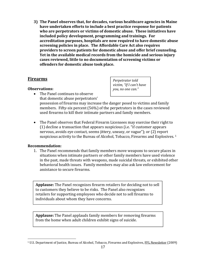**3) The Panel observes that, for decades, various healthcare agencies in Maine have undertaken efforts to include a best practice response for patients who are perpetrators or victims of domestic abuse. These initiatives have included policy development, programming and trainings. For accreditation purposes, hospitals are now required to have domestic abuse screening policies in place. The Affordable Care Act also requires providers to screen patients for domestic abuse and offer brief counseling. Yet in the available medical records from the homicide and serious injury cases reviewed, little to no documentation of screening victims or offenders for domestic abuse took place.** 

#### **Firearms**

#### **Observations:**

*Perpetrator told victim, "If I can't have you, no one can."* 

- The Panel continues to observe that domestic abuse perpetrators' possession of firearms may increase the danger posed to victims and family members. Fifty-six percent  $(56%)$  of the perpetrators in the cases reviewed used firearms to kill their intimate partners and family members.
- The Panel observes that Federal Firearm Licensees may exercise their right to  $(1)$  decline a transaction that appears suspicious (i.e. "if customer appears nervous, avoids eve contact, seems jittery, uneasy, or vague"); or (2) report suspicious activity to the Bureau of Alcohol, Tobacco, Firearms and Explosives.<sup>1</sup>

#### **Recommendation:**

 

1. The Panel recommends that family members move weapons to secure places in situations when intimate partners or other family members have used violence in the past, made threats with weapons, made suicidal threats, or exhibited other behavioral health issues. Family members may also ask law enforcement for assistance to secure firearms.

**Applause:** The Panel recognizes firearm retailers for deciding not to sell to customers they believe to be risks. The Panel also recognizes retailers for supporting employees who decide not to sell firearms to individuals about whom they have concerns.

**Applause:** The Panel applauds family members for removing firearms from the home when adult children exhibit signs of suicide.

<sup>&</sup>lt;sup>1</sup> U.S. Department of Justice, Bureau of Alcohol, Tobacco, Firearms and Explosives, FFL Newsletter (2009)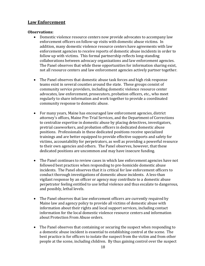#### **Law Enforcement**

#### **Observations:**

- Domestic violence resource centers now provide advocates to accompany law enforcement officers on follow-up visits with domestic abuse victims. In addition, many domestic violence resource centers have agreements with law enforcement agencies to receive reports of domestic abuse incidents in order to follow up with victims. This formal partnership reflects long-standing collaborations between advocacy organizations and law enforcement agencies. The Panel observes that while these opportunities for information sharing exist, not all resource centers and law enforcement agencies actively partner together.
- The Panel observes that domestic abuse task forces and high risk response teams exist in several counties around the state. These groups consist of community service providers, including domestic violence resource center advocates, law enforcement, prosecutors, probation officers, etc., who meet regularly to share information and work together to provide a coordinated community response to domestic abuse.
- For many years, Maine has encouraged law enforcement agencies, district attorney's offices, Maine Pre-Trial Services, and the Department of Corrections to centralize expertise in domestic abuse by placing detectives, investigators, pretrial caseworkers, and probation officers in dedicated domestic abuse positions. Professionals in these dedicated positions receive specialized trainings and are better equipped to provide effective supports and safety for victims, accountability for perpetrators, as well as providing a powerful resource to their own agencies and others. The Panel observes, however, that these dedicated positions are uncommon and may have insecure funding.
- The Panel continues to review cases in which law enforcement agencies have not followed best practices when responding to pre-homicide domestic abuse incidents. The Panel observes that it is critical for law enforcement officers to conduct thorough investigations of domestic abuse incidents. A less-than vigilant response by an officer or agency may contribute to a domestic abuse perpetrator feeling entitled to use lethal violence and thus escalate to dangerous, and possibly, lethal levels.
- The Panel observes that law enforcement officers are currently required by Maine law and agency policy to provide all victims of domestic abuse with information about their rights and local support services, including contact information for the local domestic violence resource centers and information about Protection From Abuse orders.
- The Panel observes that containing or securing the suspect when responding to a domestic abuse incident is essential to establishing control at the scene. The best practice is for officers to isolate the suspect from the victim and from other people at the scene, including children. By thus gaining control over the suspect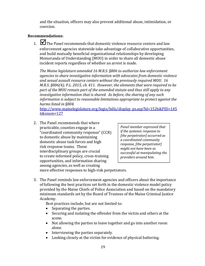and the situation, officers may also prevent additional abuse, intimidation, or coercion. 

#### **Recommendations:**

1.  $\blacksquare$  The Panel recommends that domestic violence resource centers and law enforcement agencies statewide take advantage of collaborative opportunities, and build mutually beneficial organizational relationships by developing Memoranda of Understanding (MOU) in order to share all domestic abuse incident reports regardless of whether an arrest is made.

*The Maine legislature amended 16 M.R.S. §806 to authorize law enforcement agencies to share investigative information with advocates from domestic violence and sexual assault resource centers without the previously required MOU. 16 M.R.S. §806(4); P.L. 2015, ch. 411. However, the elements that were required to be part of the MOU remain part of the amended statute and thus still apply to any investigative information that is shared. As before, the sharing of any such information is subject to reasonable limitations appropriate to protect against the harms listed in §804.* 

http://www.mainelegislature.org/legis/bills/display\_ps.asp?ld=1526&PID=145 6&snum=127

2. The Panel recommends that where practicable, counties engage in a "coordinated community response" (CCR) to domestic abuse by maintaining domestic abuse task forces and high risk response teams. These interdisciplinary groups are crucial to create informed policy, cross-training opportunities, and information sharing among agencies, as well as creating

*Panel member expressed that if the systemic response to [the perpetrator] occurred as a coordinated community response, [the perpetrator] might not have been so successful at manipulating the providers around him.*

more effective responses to high-risk perpetrators.

3. The Panel reminds law enforcement agencies and officers about the importance of following the best practices set forth in the domestic violence model policy provided by the Maine Chiefs of Police Association and based on the mandatory minimum standards set by the Board of Trustees of the Maine Criminal Justice Academy. 

Best practices include, but are not limited to:

- Separating the parties.
- Securing and isolating the offender from the victim and others at the scene.
- Not allowing the parties to leave together and go into another room alone.
- Interviewing the parties separately.
- Looking closely at the victim for evidence of physical battering.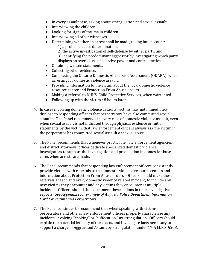- In every assault case, asking about strangulation and sexual assault.
- $\bullet$  Interviewing the children.
- Looking for signs of trauma in children.
- Interviewing all other witnesses.
- $\bullet$  Determining whether an arrest shall be made, taking into account:
	- 1) a probable cause determination,
	- 2) the active investigation of self-defense by either party, and
	- 3) identifying the predominant aggressor by investigating which party displays an overall use of coercive power and control tactics.
- Obtaining written statements.
- Collecting other evidence.
- Completing the Ontario Domestic Abuse Risk Assessment (ODARA), when arresting for domestic violence assault.
- Providing information to the victim about the local domestic violence resource center and Protection From Abuse orders.
- Making a referral to DHHS, Child Protective Services, when warranted.
- Following up with the victim 48 hours later.
- 4. In cases involving domestic violence assaults, victims may not immediately disclose to responding officers that perpetrators have also committed sexual assaults. The Panel recommends in every case of domestic violence assault, even when sexual assault is not indicated through physical evidence or initial statements by the victim, that law enforcement officers always ask the victim if the perpetrator has committed sexual assault or sexual abuse.
- 5. The Panel recommends that whenever practicable, law enforcement agencies and district attorneys' offices dedicate specialized domestic violence investigators to support the investigation and prosecution in domestic abuse cases when arrests are made.
- 6. The Panel recommends that responding law enforcement officers consistently provide victims with referrals to the domestic violence resource centers and information about Protection From Abuse orders. Officers should make these referrals at each and every domestic violence related incident, to include any new victims they encounter and any victims they encounter at multiple incidents. Officers should then document these actions in their investigative reports. *See Appendix I for example of Augusta Police Department Information Card for Victims and Perpetrators.*
- 7. The Panel continues to recommend that when speaking with victims, perpetrators and others, law enforcement officers properly characterize any incidents involving "choking" or "suffocation," as strangulation. Officers should explain the potential lethality of these acts, and investigate facts necessary to support a charge of Aggravated Assault by strangulation under 17-A M.R.S. §208.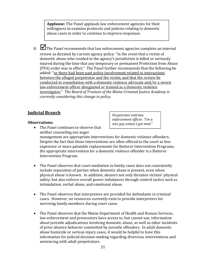**Applause:** The Panel applauds law enforcement agencies for their willingness to examine protocols and policies relating to domestic abuse cases in order to continue to improve responses.

8.  $\blacksquare$  The Panel recommends that law enforcement agencies complete an internal review as dictated by current agency policy: "in the event that a victim of domestic abuse who resided in the agency's jurisdiction is killed or seriously injured during the time that any temporary or permanent Protection from Abuse (PFA) order was in effect." The Panel further recommends that the following be added: "or there had been past police involvement related to interactions between the alleged perpetrator and the victim, and that the review be conducted in consultation with a domestic violence advocate and/or a sworn law enforcement officer designated or trained as a domestic violence investigator." *The Board of Trustees of the Maine Criminal Justice Academy is currently considering this change in policy.* 

#### **Indicial Branch**

#### **Observations:**

*Perpetrator told law enforcement officer, "I'm a nice guy unless I get mad."*

- The Panel continues to observe that neither counseling nor anger management are appropriate interventions for domestic violence offenders. Despite the fact that those interventions are often offered to the court as less expensive or more palatable replacements for Batterer Intervention Programs, the appropriate intervention for a domestic violence offender is a Batterer Intervention Program.
- The Panel observes that court mediation in family cases does not consistently include separation of parties when domestic abuse is present, even when physical abuse is known. In addition, abusers not only threaten victims' physical safety, but also enforce overall power imbalances through control tactics such as intimidation, verbal abuse, and emotional abuse.
- The Panel observes that interpreters are provided for defendants in criminal cases. However, no resources currently exist to provide interpreters for surviving family members during court cases.
- The Panel observes that the Maine Department of Health and Human Services, law enforcement and prosecutors have access to, but cannot use, information about juvenile adjudications involving domestic abuse, as well as other incidents of prior abusive behavior committed by juvenile offenders. In adult domestic abuse homicide or serious injury cases, it would be helpful to have this information for judicial decision-making regarding diversion, interventions and sentencing with adult perpetrators.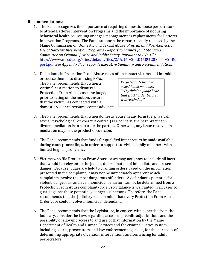#### **Recommendations:**

- 1. The Panel recognizes the importance of requiring domestic abuse perpetrators to attend Batterer Intervention Programs and the importance of not using behavioral health counseling or anger management as replacements for Batterer Intervention Programs. The Panel supports the report recently released by the Maine Commission on Domestic and Sexual Abuse: *Pretrial and Post‐Conviction Use of Batterer Intervention Programs ‐ Report to Maine's Joint Standing Committee on Criminal Justice and Public Safety, Pursuant to L.D. 150* http://www.mcedv.org/sites/default/files/2.19.16%20LD150%20Final%20Re port.pdf *See Appendix F for report's Executive Summary and Recommendations.*
- 2. Defendants in Protection From Abuse cases often contact victims and intimidate
- or coerce them into dismissing PFAs. The Panel recommends that when a victim files a motion to dismiss a Protection From Abuse case, the judge, prior to acting on the motion, ensures that the victim has connected with a domestic violence resource center advocate.

*Perpetrator's brother asked Panel members, "Why didn't a judge hear that [PFA] order before it was rescinded?"*

- 3. The Panel recommends that when domestic abuse in any form (i.e. physical, sexual, psychological, or coercive control) is a concern, the best practice in divorce mediation is to separate the parties. Otherwise, any issue resolved in mediation may be the product of coercion.
- 4. The Panel recommends that funds for qualified interpreters be made available during court proceedings, in order to support surviving family members with limited English proficiency.
- 5. Victims who file Protection From Abuse cases may not know to include all facts that would be relevant to the judge's determination of immediate and present danger. Because judges are held to granting orders based on the information presented in the complaint, it may not be immediately apparent which complaints involve the most dangerous offenders. A defendant's potential for violent, dangerous, and even homicidal behavior, cannot be determined from a Protection From Abuse complaint/order, so vigilance is warranted in all cases to guard against these potentially dangerous persons. Therefore, the Panel recommends that the Judiciary keep in mind that every Protection From Abuse Order case could involve a homicidal defendant.
- 6. The Panel recommends that the Legislature, in concert with expertise from the Judiciary, consider the laws regarding access to juvenile adjudications and the possibility of allowing access to and use of that information by the Maine Department of Health and Human Services and the criminal justice system, including courts, prosecutors, and law enforcement agencies, for the purposes of determining appropriate diversion, interventions and sentencing for adult perpetrators.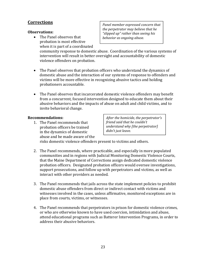#### **Corrections**

#### **Observations:**

• The Panel observes that probation is most effective when it is part of a coordinated *Panel member expressed concern that the perpetrator may believe that he "slipped up" rather than seeing his behavior as ongoing abuse.*

community response to domestic abuse. Coordination of the various systems of intervention will result in better oversight and accountability of domestic violence offenders on probation.

- The Panel observes that probation officers who understand the dynamics of domestic abuse and the interaction of our systems of response to offenders and victims will be more effective in recognizing abusive tactics and holding probationers accountable.
- The Panel observes that incarcerated domestic violence offenders may benefit from a concurrent, focused intervention designed to educate them about their abusive behaviors and the impacts of abuse on adult and child victims, and to invite behavioral change.

#### **Recommendations:**

1. The Panel recommends that probation officers be trained in the dynamics of domestic abuse and be made aware of the *After the homicide, the perpetrator's friend said that he couldn't understand why [the perpetrator] didn't just leave.*

risks domestic violence offenders present to victims and others.

- 2. The Panel recommends, where practicable, and especially in more populated communities and in regions with Judicial Monitoring Domestic Violence Courts, that the Maine Department of Corrections assign dedicated domestic violence probation officers. Designated probation officers would oversee investigations, support prosecutions, and follow up with perpetrators and victims, as well as interact with other providers as needed.
- 3. The Panel recommends that jails across the state implement policies to prohibit domestic abuse offenders from direct or indirect contact with victims and witnesses involved in the cases, unless affirmative, monitored exceptions are in place from courts, victims, or witnesses.
- 4. The Panel recommends that perpetrators in prison for domestic violence crimes, or who are otherwise known to have used coercion, intimidation and abuse, attend educational programs such as Batterer Intervention Programs, in order to address their abusive behaviors.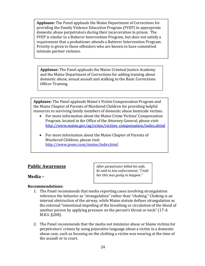**Applause:** The Panel applauds the Maine Department of Corrections for providing the Family Violence Education Program (FVEP) to appropriate domestic abuse perpetrators during their incarceration in prison. The FVEP is similar to a Batterer Intervention Program, but does not satisfy a requirement that a probationer attends a Batterer Intervention Program. Priority is given to those offenders who are known to have committed intimate partner violence.

**Applause:** The Panel applauds the Maine Criminal Justice Academy and the Maine Department of Corrections for adding training about domestic abuse, sexual assault and stalking to the Basic Corrections Officer Training.

**Applause:** The Panel applauds Maine's Victim Compensation Program and the Maine Chapter of Parents of Murdered Children for providing helpful resources to surviving family members of domestic abuse homicide victims.

- For more information about the Maine Crime Victims' Compensation Program, located in the Office of the Attorney General, please visit: http://www.maine.gov/ag/crime/victims\_compensation/index.shtml
- For more information about the Maine Chapter of Parents of Murdered Children, please visit: http://www.pomc.com/maine/index.html

#### **Public Awareness**

#### **Media –**

**Recommendations:** 

*After perpetrator killed his wife, he said to law enforcement, "I told her this was going to happen."*

- 1. The Panel recommends that media reporting cases involving strangulation reference the behavior as "strangulation" rather than "choking." Choking is an internal obstruction of the airway, while Maine statute defines strangulation as the external "intentional impeding of the breathing or circulation of the blood of another person by applying pressure on the person's throat or neck" (17-A) M.R.S. §208).
- 2. The Panel recommends that the media not minimize abuse or blame victims for perpetrators' crimes by using pejorative language about a victim in a domestic abuse case, such as focusing on the clothing a victim was wearing at the time of the assault or in court.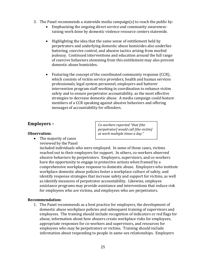- 3. The Panel recommends a statewide media campaign(s) to reach the public by:
	- Emphasizing the ongoing direct service and community awareness raising work done by domestic violence resource centers statewide.
	- Highlighting the idea that the same sense of entitlement held by perpetrators and underlying domestic abuse homicides also underlies battering, coercive control, and abusive tactics arising from morbid jealousy. Continued interventions and education around the full range of coercive behaviors stemming from this entitlement may also prevent domestic abuse homicides.
	- Featuring the concept of the coordinated community response  $(CCR)$ , which consists of victim service providers, health and human services professionals, legal system personnel, employers and batterer intervention program staff working in coordination to enhance victim safety and to ensure perpetrator accountability, as the most effective strategies to decrease domestic abuse. A media campaign could feature members of a CCR speaking against abusive behaviors and offering messages of accountability for offenders.

#### **Employers –**

#### **Observation:**

 $\bullet$  The majority of cases reviewed by the Panel

*Co‐workers reported "that [the perpetrator] would call [the victim] at work multiple times a day."*

included individuals who were employed. In some of those cases, victims reached out to their employers for support. In others, co-workers observed abusive behaviors by perpetrators. Employers, supervisors, and co-workers have the opportunity to engage in protective actions when framed by a comprehensive workplace response to domestic abuse. Employers who institute workplace domestic abuse policies foster a workplace culture of safety, and identify response strategies that increase safety and support for victims, as well as identify measures of perpetrator accountability. Likewise, employee assistance programs may provide assistance and interventions that reduce risk for employees who are victims, and employees who are perpetrators.

#### **Recommendation:**

1. The Panel recommends as a best practice for employers, the development of domestic abuse workplace policies and subsequent training of supervisors and employees. The training should include recognition of indicators or red flags for abuse, information about how abusers create workplace risks for employees, appropriate responses for co-workers and supervisors, and resources for employees who may be perpetrators or victims. Training should include information about responding to people in same-sex relationships. Employers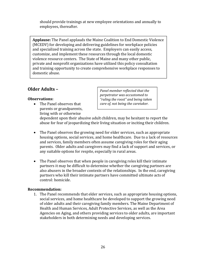should provide trainings at new employee orientations and annually to employees, thereafter.

Applause: The Panel applauds the Maine Coalition to End Domestic Violence (MCEDV) for developing and delivering guidelines for workplace policies and specialized training across the state. Employers can easily access, customize, and implement these resources through the local domestic violence resource centers. The State of Maine and many other public, private and nonprofit organizations have utilized this policy consultation and training opportunity to create comprehensive workplace responses to domestic abuse.

### **Older Adults –**

#### **Observations:**

• The Panel observes that parents or grandparents, living with or otherwise

*Panel member reflected that the perpetrator was accustomed to "ruling the roost" and being taken care of, not being the caretaker.* 

dependent upon their abusive adult children, may be hesitant to report the abuse for fear of jeopardizing their living situation or inciting their children.

- The Panel observes the growing need for elder services, such as appropriate housing options, social services, and home healthcare. Due to a lack of resources and services, family members often assume caregiving roles for their aging parents. Older adults and caregivers may find a lack of support and services, or any suitable options for respite, especially in rural areas.
- The Panel observes that when people in caregiving roles kill their intimate partners it may be difficult to determine whether the caregiving partners are also abusers in the broader contexts of the relationships. In the end, caregiving partners who kill their intimate partners have committed ultimate acts of control: homicide.

#### **Recommendation:**

1. The Panel recommends that elder services, such as appropriate housing options, social services, and home healthcare be developed to support the growing need of older adults and their caregiving family members. The Maine Department of Health and Human Services, Adult Protective Services, as well as the Area Agencies on Aging, and others providing services to older adults, are important stakeholders in both determining needs and developing services.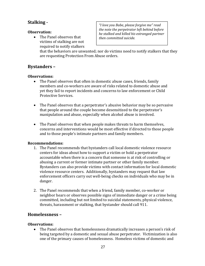### **Stalking** -

#### **Observation:**

• The Panel observes that victims of stalking are not required to notify stalkers

*"I love you Babe, please forgive me" read the note the perpetrator left behind before he stalked and killed his estranged partner then committed suicide.*

that the behaviors are unwanted; nor do victims need to notify stalkers that they are requesting Protection From Abuse orders.

### **Bystanders –**

#### **Observations:**

- The Panel observes that often in domestic abuse cases, friends, family members and co-workers are aware of risks related to domestic abuse and yet they fail to report incidents and concerns to law enforcement or Child Protective Services.
- The Panel observes that a perpetrator's abusive behavior may be so pervasive that people around the couple become desensitized to the perpetrator's manipulation and abuse, especially when alcohol abuse is involved.
- The Panel observes that when people makes threats to harm themselves, concerns and interventions would be most effective if directed to those people and to those people's intimate partners and family members.

#### **Recommendations:**

- 1. The Panel recommends that bystanders call local domestic violence resource centers for ideas about how to support a victim or hold a perpetrator accountable when there is a concern that someone is at risk of controlling or abusing a current or former intimate partner or other family member. Bystanders can also provide victims with contact information for local domestic violence resource centers. Additionally, bystanders may request that law enforcement officers carry out well-being checks on individuals who may be in danger.
- 2. The Panel recommends that when a friend, family member, co-worker or neighbor hears or observes possible signs of immediate danger or a crime being committed, including but not limited to suicidal statements, physical violence, threats, harassment or stalking, that bystander should call 911.

#### **Homelessness –**

#### **Observations:**

• The Panel observes that homelessness dramatically increases a person's risk of being targeted by a domestic and sexual abuse perpetrator. Victimization is also one of the primary causes of homelessness. Homeless victims of domestic and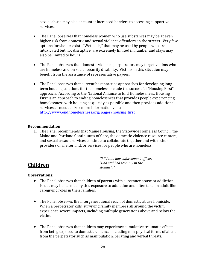sexual abuse may also encounter increased barriers to accessing supportive services.

- The Panel observes that homeless women who use substances may be at even higher risk from domestic and sexual violence offenders on the streets. Very few options for shelter exist. "Wet beds," that may be used by people who are intoxicated but not disruptive, are extremely limited in number and stays may also be limited to hours.
- The Panel observes that domestic violence perpetrators may target victims who are homeless and on social security disability. Victims in this situation may benefit from the assistance of representative payees.
- The Panel observes that current best practice approaches for developing longterm housing solutions for the homeless include the successful "Housing First" approach. According to the National Alliance to End Homelessness, Housing First is an approach to ending homelessness that provides people experiencing homelessness with housing as quickly as possible and then provides additional services as needed. For more information visit: http://www.endhomelessness.org/pages/housing\_first

#### **Recommendation:**

1. The Panel recommends that Maine Housing, the Statewide Homeless Council, the Maine and Portland Continuums of Care, the domestic violence resource centers, and sexual assault services continue to collaborate together and with other providers of shelter and/or services for people who are homeless.

### **Children**

*Child told law enforcement officer, "Dad stabbed Mommy in the* stomach."

#### **Observations:**

- The Panel observes that children of parents with substance abuse or addiction issues may be harmed by this exposure to addiction and often take on adult-like caregiving roles in their families.
- The Panel observes the intergenerational reach of domestic abuse homicide. When a perpetrator kills, surviving family members all around the victim experience severe impacts, including multiple generations above and below the victim.
- The Panel observes that children may experience cumulative traumatic effects from being exposed to domestic violence, including non-physical forms of abuse from the perpetrator such as manipulation, berating and verbal threats.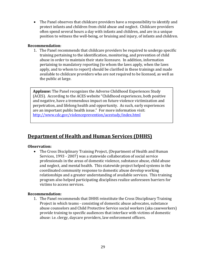• The Panel observes that childcare providers have a responsibility to identify and protect infants and children from child abuse and neglect. Childcare providers often spend several hours a day with infants and children, and are in a unique position to witness the well-being, or bruising and injury, of infants and children.

#### **Recommendation**:

1. The Panel recommends that childcare providers be required to undergo specific training pertaining to the identification, monitoring, and prevention of child abuse in order to maintain their state licensure. In addition, information pertaining to mandatory reporting (to whom the laws apply, when the laws apply, and to whom to report) should be clarified in these trainings and made available to childcare providers who are not required to be licensed, as well as the public at large.

**Applause:** The Panel recognizes the Adverse Childhood Experiences Study (ACES). According to the ACES website "Childhood experiences, both positive and negative, have a tremendous impact on future violence victimization and perpetration, and lifelong health and opportunity. As such, early experiences are an important public health issue." For more information visit: http://www.cdc.gov/violenceprevention/acestudy/index.html

## **Department of Health and Human Services (DHHS)**

#### **Observation:**

• The Cross Disciplinary Training Project, (Department of Health and Human Services, 1993 - 2007) was a statewide collaboration of social service professionals in the areas of domestic violence, substance abuse, child abuse and neglect, and mental health. This statewide project helped systems in the coordinated community response to domestic abuse develop working relationships and a greater understanding of available services. This training program also helped participating disciplines realize unforeseen barriers for victims to access services.

#### **Recommendation:**

1. The Panel recommends that DHHS reinstitute the Cross Disciplinary Training Project in which teams - consisting of domestic abuse advocates, substance abuse counselors and Child Protective Service social workers (aka caseworkers) provide training to specific audiences that interface with victims of domestic abuse: i.e. clergy, daycare providers, law enforcement officers.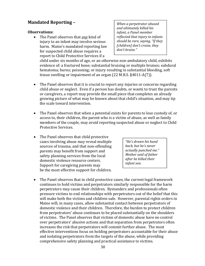### **Mandated Reporting -**

#### **Observations:**

• The Panel observes that *any* kind of injury to an infant may involve serious harm. Maine's mandated reporting law for suspected child abuse requires a report to Child Protective Services if a

*When a perpetrator abused and ultimately killed his infant, a Panel member reflected that injury to infants should be rare, saying, "If they [children] don't cruise, they don't bruise."*

child under six months of age, or an otherwise non-ambulatory child, exhibits evidence of: a fractured bone; substantial bruising or multiple bruises; subdural hematoma; burns; poisoning; or injury resulting in substantial bleeding, soft tissue swelling or impairment of an organ  $(22$  M.R.S.  $§4011-A(7)$ ).

- The Panel observes that it is crucial to report any injuries or concerns regarding child abuse or neglect. Even if a person has doubts, or wants to trust the parents or caregivers, a report may provide the small piece that completes an already growing picture of what may be known about that child's situation, and may tip the scale toward intervention.
- The Panel observes that when a potential exists for parents to lose custody of, or access to, their children, the parent who is a victim of abuse, as well as family members of the couple, may avoid reporting suspected abuse or neglect to Child Protective Services.
- The Panel observes that child protective cases involving abuse may reveal multiple sources of trauma, and that non-offending parents may benefit from support and safety planning services from the local domestic violence resource centers. Support for caregiving parents may be the most effective support for children.

*"He's drawn his hand back, but he's never actually punched me." Mother said of father after he killed their infant son.*

• The Panel observes that in child protective cases, the current legal framework continues to hold victims and perpetrators similarly responsible for the harm perpetrators may cause their children. Bystanders and professionals often pressure victims to end relationships with perpetrators out of the belief that this will make both the victims and children safe. However, parental rights orders in Maine will, in many cases, allow substantial contact between perpetrators of domestic violence and their children. Therefore, the burden to protect children from perpetrators' abuse continues to be placed substantially on the shoulders of victims. The Panel observes that victims of domestic abuse have no control over perpetrators' abusive actions and that separation from perpetrators often increases the risk that perpetrators will commit further abuse. The most effective interventions focus on holding perpetrators accountable for their abuse and isolating perpetrators from the targets of the abuse, while providing comprehensive safety planning and practical assistance to victims.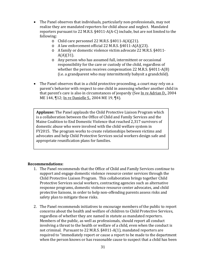- The Panel observes that individuals, particularly non-professionals, may not realize they are mandated reporters for child abuse and neglect. Mandated reporters pursuant to 22 M.R.S.  $\S 4011-A(A-C)$  include, but are not limited to the following:
	- $\circ$  Child care personnel 22 M.R.S. §4011-A(A)(21).
	- o A law enforcement official 22 M.R.S. §4011-A(A)(23).
	- A family or domestic violence victim advocate 22 M.R.S. §4011- $A(A)(31)$ .
	- o Any person who has assumed full, intermittent or occasional responsibility for the care or custody of the child, regardless of whether the person receives compensation  $22$  M.R.S.  $$4011-A(B)$ (i.e. a grandparent who may intermittently babysit a grandchild).
- The Panel observes that in a child protective proceeding, a court may rely on a parent's behavior with respect to one child in assessing whether another child in that parent's care is also in circumstances of jeopardy (See In re Adrian D., 2004) ME 144,  $\P$ 12; In re Danielle S., 2004 ME 19,  $\P$ 4).

**Applause:** The Panel applauds the Child Protective Liaison Program which is a collaboration between the Office of Child and Family Services and the Maine Coalition to End Domestic Violence that reached 2,317 survivors of domestic abuse who were involved with the child welfare system in FY2015. The program works to create relationships between victims and advocates and help Child Protective Services social workers design safe and appropriate reunification plans for families.

#### **Recommendations:**

- 1. The Panel recommends that the Office of Child and Family Services continue to support and engage domestic violence resource center services through the Child Protective Liaison Program. This collaboration brings together Child Protective Services social workers, contracting agencies such as alternative response programs, domestic violence resource center advocates, and child protective liaisons, in order to help non-offending parents assess risks and safety plan to mitigate those risks.
- 2. The Panel recommends initiatives to encourage members of the public to report concerns about the health and welfare of children to Child Protective Services, regardless of whether they are named in statute as mandated reporters. Members of the public, as well as professionals, should report all conduct involving a threat to the health or welfare of a child, even when the conduct is not criminal. Pursuant to 22 M.R.S. §4011-A(1), mandated reporters are required to "immediately report or cause a report to be made to the department when the person knows or has reasonable cause to suspect that a child has been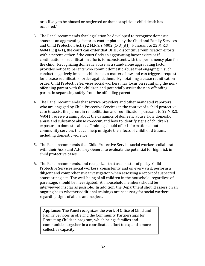or is likely to be abused or neglected or that a suspicious child death has occurred." 

- 3. The Panel recommends that legislation be developed to recognize domestic abuse as an aggravating factor as contemplated by the Child and Family Services and Child Protection Act.  $(22 \text{ M.R.S. s.4002} (1-B)(A))$ . Pursuant to 22 M.R.S.  $§4041(2)$ (A-1), the court can order that DHHS discontinue reunification efforts with a parent, either if the court finds an aggravating factor exists or if continuation of reunification efforts is inconsistent with the permanency plan for the child. Recognizing domestic abuse as a stand-alone aggravating factor provides notice to parents who commit domestic abuse that engaging in such conduct negatively impacts children as a matter of law and can trigger a request for a cease reunification order against them. By obtaining a cease reunification order, Child Protective Services social workers may focus on reunifying the nonoffending parent with the children and potentially assist the non-offending parent in separating safely from the offending parent.
- 4. The Panel recommends that service providers and other mandated reporters who are engaged by Child Protective Services in the context of a child protective case to assist the parent in rehabilitation and reunification, pursuant to 22 M.R.S. §4041, receive training about the dynamics of domestic abuse, how domestic abuse and substance abuse co-occur, and how to identify signs of children's exposure to domestic abuse. Training should offer information about community services that can help mitigate the effects of childhood trauma including domestic violence.
- 5. The Panel recommends that Child Protective Service social workers collaborate with their Assistant Attorney General to evaluate the potential for high risk in child protective cases.
- 6. The Panel recommends, and recognizes that as a matter of policy, Child Protective Services social workers, consistently and on every visit, perform a diligent and comprehensive investigation when assessing a report of suspected abuse or neglect. The well-being of all children in the household, regardless of parentage, should be investigated. All household members should be interviewed insofar as possible. In addition, the Department should assess on an ongoing basis whether additional trainings are necessary for social workers regarding signs of abuse and neglect.

Applause: The Panel recognizes the work of Office of Child and Family Services in offering the Community Partnerships for Protecting Children program, which brings families and communities together in a coordinated effort to expand a more collective capacity.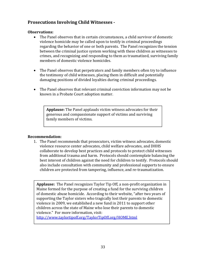### **Prosecutions Involving Child Witnesses ·**

#### **Observations:**

- The Panel observes that in certain circumstances, a child survivor of domestic violence homicide may be called upon to testify in criminal proceedings regarding the behavior of one or both parents. The Panel recognizes the tension between the criminal justice system working with these children as witnesses to crimes, and recognizing and responding to them as traumatized, surviving family members of domestic violence homicides.
- The Panel observes that perpetrators and family members often try to influence the testimony of child witnesses, placing them in difficult and potentially damaging positions of divided loyalties during criminal proceedings.
- The Panel observes that relevant criminal conviction information may not be known in a Probate Court adoption matter.

**Applause:** The Panel applauds victim witness advocates for their generous and compassionate support of victims and surviving family members of victims.

#### **Recommendation:**

1. The Panel recommends that prosecutors, victim witness advocates, domestic violence resource center advocates, child welfare advocates, and DHHS collaborate to develop best practices and protocols to protect child witnesses from additional trauma and harm. Protocols should contemplate balancing the best interest of children against the need for children to testify. Protocols should also include consultation with community and professional supports to ensure children are protected from tampering, influence, and re-traumatization.

**Applause:** The Panel recognizes Taylor Tip Off, a non-profit organization in Maine formed for the purpose of creating a fund for the surviving children of domestic abuse homicide. According to their website, "after two years of supporting the Taylor sisters who tragically lost their parents to domestic violence in 2009, we established a new fund in 2011 to support other children across the state of Maine who lose their parents to domestic violence." For more information, visit:

http://www.taylortipoff.org/TaylorTipOff.org/HOME.html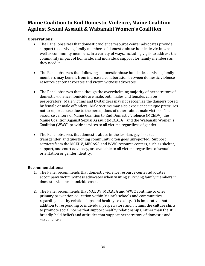## **Maine Coalition to End Domestic Violence, Maine Coalition Against Sexual Assault & Wabanaki Women's Coalition**

#### **Observations:**

- The Panel observes that domestic violence resource center advocates provide support to surviving family members of domestic abuse homicide victims, as well as community members, in a variety of ways, including vigils to address the community impact of homicide, and individual support for family members as they need it.
- The Panel observes that following a domestic abuse homicide, surviving family members may benefit from increased collaboration between domestic violence resource center advocates and victim witness advocates.
- The Panel observes that although the overwhelming majority of perpetrators of domestic violence homicide are male, both males and females can be perpetrators. Male victims and bystanders may not recognize the dangers posed by female or male offenders. Male victims may also experience unique pressures not to report abuse due to the perceptions of others about male victims. The resource centers of Maine Coalition to End Domestic Violence (MCEDV), the Maine Coalition Against Sexual Assault (MECASA), and the Wabanaki Women's Coalition (WWC) provide services to all victims regardless of gender.
- The Panel observes that domestic abuse in the lesbian, gay, bisexual, transgender, and questioning community often goes unreported. Support services from the MCEDV, MECASA and WWC resource centers, such as shelter, support, and court advocacy, are available to all victims regardless of sexual orientation or gender identity.

#### **Recommendations:**

- 1. The Panel recommends that domestic violence resource center advocates accompany victim witness advocates when visiting surviving family members in domestic violence homicide cases.
- 2. The Panel recommends that MCEDV, MECASA and WWC continue to offer primary prevention education within Maine's schools and communities, regarding healthy relationships and healthy sexuality. It is imperative that in addition to responding to individual perpetrators and victims, the culture shifts to promote social norms that support healthy relationships, rather than the still broadly-held beliefs and attitudes that support perpetrators of domestic and sexual abuse.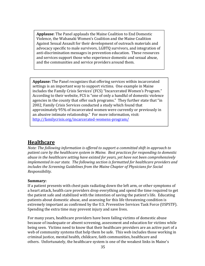**Applause**: The Panel applauds the Maine Coalition to End Domestic Violence, the Wabanaki Women's Coalition and the Maine Coalition Against Sexual Assault for their development of outreach materials and advocacy specific to male survivors, LGBTQ survivors, and integration of anti-discrimination messages in prevention education. These resources and services support those who experience domestic and sexual abuse, and the communities and service providers around them.

**Applause:** The Panel recognizes that offering services within incarcerated settings is an important way to support victims. One example in Maine includes the Family Crisis Services' (FCS) "Incarcerated Women's Program." According to their website, FCS is "one of only a handful of domestic violence agencies in the county that offer such programs." They further state that "in 2002, Family Crisis Services conducted a study which found that approximately 95% of incarcerated women were currently or previously in an abusive intimate relationship." For more information, visit: http://familycrisis.org/incarcerated‐womens‐program/

### **Healthcare**

*Note: The following information is offered to support a committed shift in approach to patient care by the healthcare system in Maine. Best practices for responding to domestic abuse in the healthcare setting have existed for years, yet have not been comprehensively implemented in our state. The following section is formatted for healthcare providers and includes the Screening Guidelines from the Maine Chapter of Physicians for Social Responsibility.*

#### **Summary:**

If a patient presents with chest pain radiating down the left arm, or other symptoms of a heart attack, health care providers drop everything and spend the time required to get the patient safe and stabilized with the intention of saving the patient's life. Educating patients about domestic abuse, and assessing for this life threatening condition is extremely important as confirmed by the U.S. Preventive Services Task Force (USPSTF). Spending the extra time may prevent injury and save lives.

For many years, healthcare providers have been failing victims of domestic abuse because of inadequate or absent screening, assessment and education for victims while being seen. Victims need to know that their healthcare providers are an active part of a web of community systems that help them be safe. This web includes those working in criminal justice, mental health, childcare, faith communities, healthcare and others. Unfortunately, the healthcare system is one of the weakest links in Maine's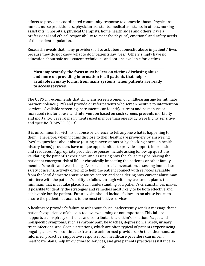efforts to provide a coordinated community response to domestic abuse. Physicians, nurses, nurse practitioners, physician assistants, medical assistants in offices, nursing assistants in hospitals, physical therapists, home health aides and others, have a professional and ethical responsibility to meet the physical, emotional and safety needs of this patient population.

Research reveals that many providers fail to ask about domestic abuse in patients' lives because they do not know what to do if patients say "yes." Others simply have no education about safe assessment techniques and options available for victims.

**Most importantly, the focus must be less on victims disclosing abuse, and more on providing information to all patients that help is available in many forms, from many systems, when patients are ready to access services.**

The USPSTF recommends that clinicians screen women of childbearing age for intimate partner violence (IPV) and provide or refer patients who screen positive to intervention services. Available screening instruments can identify current and past abuse or increased risk for abuse, and intervention based on such screens prevents morbidity and mortality. Several instruments used in more than one study were highly sensitive and specific. (USPSTF, 2013)

It is uncommon for victims of abuse or violence to tell anyone what is happening to them. Therefore, when victims disclose to their healthcare providers by answering "yes" to questions about abuse (during conversations or by checking boxes on health history forms) providers have unique opportunities to provide support, information, and resources. Appropriate provider responses include asking follow up questions, validating the patient's experience, and assessing how the abuse may be placing the patient at emergent risk of life or chronically impacting the patient's or other family member's health and well-being. As part of a brief conversation, assessing immediate safety concerns, actively offering to help the patient connect with services available from the local domestic abuse resource center, and considering how current abuse may interfere with the patient's ability to follow through with any treatment plan is the minimum that must take place. Such understanding of a patient's circumstances makes it possible to identify the strategies and remedies most likely to be both effective and achievable for the patient. Future visits should include follow-up on abuse issues to assure the patient has access to the most effective services.

A healthcare provider's failure to ask about abuse inadvertently sends a message that a patient's experience of abuse is too overwhelming or not important. This failure supports a conspiracy of silence and contributes to a victim's isolation. Vague and nonspecific symptoms, such as chronic pain, headaches, depression, anxiety, urinary tract infections, and sleep disruptions, which are often typical of patients experiencing ongoing abuse, will continue to frustrate uninformed providers. On the other hand, an informed, proactive, supportive response from healthcare providers can inform healthcare plans, help link victims to services, and give patients practical assistance so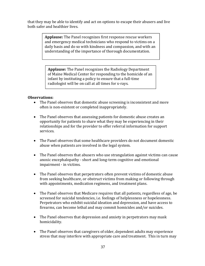that they may be able to identify and act on options to escape their abusers and live both safer and healthier lives.

> **Applause:** The Panel recognizes first response rescue workers and emergency medical technicians who respond to victims on a daily basis and do so with kindness and compassion, and with an understanding of the importance of thorough documentation.

**Applause:** The Panel recognizes the Radiology Department of Maine Medical Center for responding to the homicide of an infant by instituting a policy to ensure that a full-time radiologist will be on call at all times for x-rays.

#### **Observations:**

- The Panel observes that domestic abuse screening is inconsistent and more often is non-existent or completed inappropriately.
- The Panel observes that assessing patients for domestic abuse creates an opportunity for patients to share what they may be experiencing in their relationships and for the provider to offer referral information for support services.
- The Panel observes that some healthcare providers do not document domestic abuse when patients are involved in the legal system.
- The Panel observes that abusers who use strangulation against victims can cause anoxic encephalopathy - short and long-term cognitive and emotional impairment - in victims.
- The Panel observes that perpetrators often prevent victims of domestic abuse from seeking healthcare, or obstruct victims from making or following through with appointments, medication regimens, and treatment plans.
- The Panel observes that Medicare requires that all patients, regardless of age, be screened for suicidal tendencies, i.e. feelings of helplessness or hopelessness. Perpetrators who exhibit suicidal ideation and depression, and have access to firearms, can become lethal and may commit homicides and/or suicides.
- The Panel observes that depression and anxiety in perpetrators may mask homicidality.
- The Panel observes that caregivers of older, dependent adults may experience stress that may interfere with appropriate care and treatment. This in turn may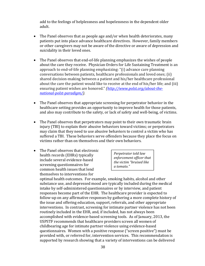add to the feelings of helplessness and hopelessness in the dependent older adult. 

- The Panel observes that as people age and/or when health deteriorates, many patients put into place advance healthcare directives. However, family members or other caregivers may not be aware of the directive or aware of depression and suicidality in their loved ones.
- The Panel observes that end-of-life planning emphasizes the wishes of people about the care they receive. Physician Orders for Life Sustaining Treatment is an approach to end-of-life planning emphasizing: "(i) advance care planning conversations between patients, healthcare professionals and loved ones; (ii) shared decision-making between a patient and his/her healthcare professional about the care the patient would like to receive at the end of his/her life; and (iii) ensuring patient wishes are honored." *(http://www.polst.org/about-thenational‐polst‐paradigm/).*
- The Panel observes that appropriate screening for perpetrator behavior in the healthcare setting provides an opportunity to improve health for those patients, and also may contribute to the safety, or lack of safety and well-being, of victims.
- The Panel observes that perpetrators may point to their own traumatic brain injury (TBI) to explain their abusive behaviors toward victims; or perpetrators may claim that they need to use abusive behaviors to control a victim who has suffered a TBI. These behaviors serve offenders because they place the focus on victims rather than on themselves and their own behaviors.
- The Panel observes that electronic health records (EHRs) typically include several evidence-based screening questionnaires for common health issues that lend themselves to interventions for

*Perpetrator told law enforcement officer that the victim "bruised like a tomato."*

optimal health outcomes. For example, smoking habits, alcohol and other substance use, and depressed mood are typically included during the medical intake by self-administered questionnaires or by interview, and patient responses become part of the EHR. The healthcare provider is expected to follow-up on any affirmative responses by gathering a more complete history of the issue and offering education, support, referrals, and other appropriate interventions. In contrast, screening for intimate partner violence has not been routinely included in the EHR, and, if included, has not always been accomplished with evidence-based screening tools. As of January, 2013, the USPSTF recommends that healthcare providers screen all women of childbearing age for intimate partner violence using evidence-based questionnaires. Women with a positive response ("screen positive") must be provided with, or referred for, intervention services. This recommendation is supported by research showing that a variety of interventions can be delivered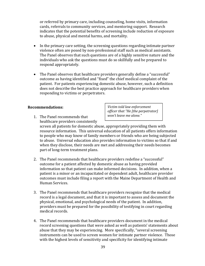or referred by primary care, including counseling, home visits, information cards, referrals to community services, and mentoring support. Research indicates that the potential benefits of screening include reduction of exposure to abuse, physical and mental harms, and mortality.

- In the primary care setting, the screening questions regarding intimate partner violence often are posed by non-professional staff such as medical assistants. The Panel observes that such questions are of a highly sensitive nature and the individuals who ask the questions must do so skillfully and be prepared to respond appropriately.
- The Panel observes that healthcare providers generally define a "successful" outcome as having identified and "fixed" the chief medical complaint of the patient. For patients experiencing domestic abuse, however, such a definition does not describe the best practice approach for healthcare providers when responding to victims or perpetrators.

#### **Recommendations:**

1. The Panel recommends that healthcare providers consistently screen all patients for domestic abuse, appropriately providing them with resource information. This universal education of all patients offers information to people who may know of family members or friends who are being subjected *officer that "He [the perpetrator] won't leave me alone."*

*Victim told law enforcement*

to abuse. Universal education also provides information to victims so that if and when they disclose, their needs are met and addressing their needs becomes part of long-term treatment plans.

- 2. The Panel recommends that healthcare providers redefine a "successful" outcome for a patient affected by domestic abuse as having provided information so that patient can make informed decisions. In addition, when a patient is a minor or an incapacitated or dependent adult, healthcare provider outcomes must include filing a report with the Maine Department of Health and Human Services.
- 3. The Panel recommends that healthcare providers recognize that the medical record is a legal document, and that it is important to assess and document the physical, emotional, and psychological needs of the patient. In addition, providers must be prepared for the possibility of testifying in court regarding medical records.
- 4. The Panel recommends that healthcare providers document in the medical record screening questions that were asked as well as patients' statements about abuse that they may be experiencing. More specifically, "several screening instruments can be used to screen women for intimate partner violence. Those with the highest levels of sensitivity and specificity for identifying intimate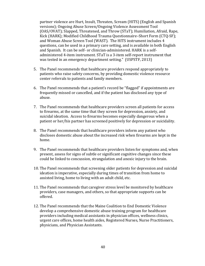partner violence are Hurt, Insult, Threaten, Scream (HITS) (English and Spanish versions); Ongoing Abuse Screen/Ongoing Violence Assessment Tool (OAS/OVAT); Slapped, Threatened, and Throw (STaT); Humiliation, Afraid, Rape, Kick (HARK); Modified Childhood Trauma Questionnaire–Short Form (CTQ-SF); and Woman Abuse Screen Tool (WAST). The HITS instrument includes 4 questions, can be used in a primary care setting, and is available in both English and Spanish. It can be self- or clinician-administered. HARK is a selfadministered 4-item instrument. STaT is a 3-item self-report instrument that was tested in an emergency department setting." (USPSTF, 2013)

- 5. The Panel recommends that healthcare providers respond appropriately to patients who raise safety concerns, by providing domestic violence resource center referrals to patients and family members.
- 6. The Panel recommends that a patient's record be "flagged" if appointments are frequently missed or cancelled, and if the patient has disclosed any type of abuse.
- 7. The Panel recommends that healthcare providers screen all patients for access to firearms, at the same time that they screen for depression, anxiety, and suicidal ideation. Access to firearms becomes especially dangerous when a patient or her/his partner has screened positively for depression or suicidality.
- 8. The Panel recommends that healthcare providers inform any patient who discloses domestic abuse about the increased risk when firearms are kept in the home.
- 9. The Panel recommends that healthcare providers listen for symptoms and, when present, assess for signs of subtle or significant cognitive changes since these could be linked to concussion, strangulation and anoxic injury to the brain.
- 10. The Panel recommends that screening older patients for depression and suicidal ideation is imperative, especially during times of transition from home to assisted living, home to living with an adult child, etc.
- 11. The Panel recommends that caregiver stress level be monitored by healthcare providers, case managers, and others, so that appropriate supports can be offered.
- 12. The Panel recommends that the Maine Coalition to End Domestic Violence develop a comprehensive domestic abuse training program for healthcare providers including medical assistants in physician offices, wellness clinics, urgent care offices, home health aides, Registered Nurses, Nurse Practitioners, physicians, and Physician Assistants.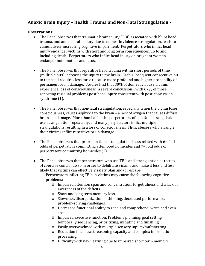### **Anoxic Brain Injury – Health Trauma and Non‐Fatal Strangulation ‐**

#### **Observations:**

- The Panel observes that traumatic brain injury (TBI) associated with blunt head trauma, and anoxic brain injury due to domestic violence strangulation, leads to cumulatively increasing cognitive impairment. Perpetrators who inflict head injury endanger victims with short and long term consequences, up to and including death. Perpetrators who inflict head injury on pregnant women endanger both mother and fetus.
- The Panel observes that repetitive head trauma within short periods of time (multiple hits) increases the injury to the brain. Each subsequent consecutive hit to the head requires less force to cause more profound and higher probability of permanent brain damage. Studies find that 30% of domestic abuse victims experience loss of consciousness (a severe concussion), with 67% of those reporting residual problems post head injury consistent with post-concussion syndrome  $(1)$ .
- The Panel observes that non-fatal strangulation, especially when the victim loses consciousness, causes asphyxia to the brain  $-$  a lack of oxygen that causes diffuse brain cell damage. More than half of the perpetrators of non-fatal strangulation use strangulation repeatedly, and many perpetrators inflict multiple strangulations resulting in a loss of consciousness. Thus, abusers who strangle their victims inflict repetitive brain damage.
- The Panel observes that prior non-fatal strangulation is associated with  $6+$  fold odds of perpetrators committing attempted homicides and 7+ fold odds of perpetrators committing homicides (2).
- The Panel observes that perpetrators who use TBIs and strangulation as tactics of coercive control do so in order to debilitate victims and make it less and less likely that victims can effectively safety plan and/or escape.

Perpetrators inflicting TBIs in victims may cause the following cognitive problems: 

- $\circ$  Impaired attention span and concentration, forgetfulness and a lack of awareness of the deficits.
- $\circ$  Short and long term memory loss.
- o Slowness/disorganization in thinking, decreased performance, problem-solving challenges.
- o Decreased functional ability to read and comprehend, write and even speak.
- o Impaired executive function: Problems planning, goal setting, temporally sequencing, prioritizing, initiating and finishing.
- $\circ$  Easily overwhelmed with multiple sensory inputs/multitasking.
- $\circ$  Reduction in abstract reasoning capacity and complex information processing.
- $\circ$  Difficulty with new learning due to impaired short term memory.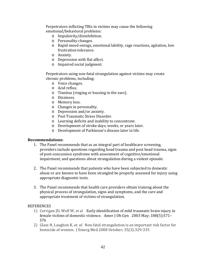Perpetrators inflicting TBIs in victims may cause the following emotional/behavioral problems:

- o Impulsivity/disinhibition.
- o Personality changes.
- o Rapid mood swings, emotional lability, rage reactions, agitation, low frustration tolerance.
- o Anxiety.
- o Depression with flat affect.
- o Impaired social judgment.

Perpetrators using non-fatal strangulation against victims may create chronic problems, including:

- o Voice changes.
- o Acid reflux.
- $\circ$  Tinnitus (ringing or buzzing in the ears).
- o Dizziness.
- o Memory loss.
- $\circ$  Changes in personality.
- o Depression and/or anxiety.
- o Post Traumatic Stress Disorder.
- o Learning deficits and inability to concentrate.
- o Development of stroke days, weeks, or years later.
- o Development of Parkinson's disease later in life.

#### **Recommendations:**

- 1. The Panel recommends that as an integral part of healthcare screening, providers include questions regarding head trauma and post head trauma, signs of post-concussion syndrome with assessment of cognitive/emotional impairment, and questions about strangulation during a violent episode.
- 2. The Panel recommends that patients who have been subjected to domestic abuse or are known to have been strangled be properly assessed for injury using appropriate diagnostic tests.
- 3. The Panel recommends that health care providers obtain training about the physical process of strangulation, signs and symptoms, and the care and appropriate treatment of victims of strangulation.

#### **REFERENCES**

- 1) Corrigan ID, Wolf W, et al Early identification of mild traumatic brain injury in female victims of domestic violence. Amer J Ob Gyn 2003 May; 188(5):S71-S76
- 2) Glass N, Laughon K, *et. al.* Non-fatal strangulation is an important risk factor for homicide of women. J Emerg Med 2008 October; 35(3):329-335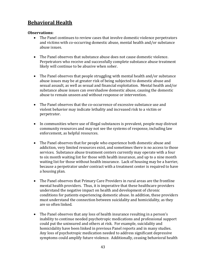## **Behavioral Health**

#### **Observations:**

- The Panel continues to review cases that involve domestic violence perpetrators and victims with co-occurring domestic abuse, mental health and/or substance abuse issues.
- $\bullet$  The Panel observes that substance abuse does not cause domestic violence. Perpetrators who receive and successfully complete substance abuse treatment likely will continue to be abusive when sober.
- The Panel observes that people struggling with mental health and/or substance abuse issues may be at greater risk of being subjected to domestic abuse and sexual assault, as well as sexual and financial exploitation. Mental health and/or substance abuse issues can overshadow domestic abuse, causing the domestic abuse to remain unseen and without response or intervention.
- The Panel observes that the co-occurrence of excessive substance use and violent behavior may indicate lethality and increased risk to a victim or perpetrator.
- In communities where use of illegal substances is prevalent, people may distrust community resources and may not see the systems of response, including law enforcement, as helpful resources.
- The Panel observes that for people who experience both domestic abuse and addiction, very limited resources exist, and sometimes there is no access to those services. Substance abuse treatment centers currently may operate with a four to six month waiting list for those with health insurance, and up to a nine month waiting list for those without health insurance. Lack of housing may be a barrier, because a perpetrator under contract with a treatment center is required to have a housing plan.
- The Panel observes that Primary Care Providers in rural areas are the frontline mental health providers. Thus, it is imperative that these healthcare providers understand the negative impact on health and development of chronic conditions for patients experiencing domestic abuse. In addition, these providers must understand the connection between suicidality and homicidality, as they are so often linked.
- The Panel observes that any loss of health insurance resulting in a person's inability to continue needed psychotropic medications and professional support could put the uninsured and others at risk. For example, suicidality and homicidality have been linked in previous Panel reports and in many studies. Any loss of psychotropic medication needed to address significant depressive symptoms could amplify future violence. Additionally, ceasing behavioral health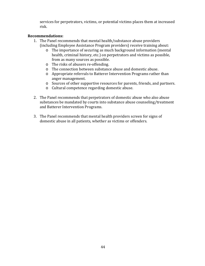services for perpetrators, victims, or potential victims places them at increased risk. 

#### **Recommendations:**

- 1. The Panel recommends that mental health/substance abuse providers (including Employee Assistance Program providers) receive training about:
	- $\circ$  The importance of securing as much background information (mental health, criminal history, etc.) on perpetrators and victims as possible, from as many sources as possible.
	- o The risks of abusers re-offending.
	- $\circ$  The connection between substance abuse and domestic abuse.
	- o Appropriate referrals to Batterer Intervention Programs rather than anger management.
	- o Sources of other supportive resources for parents, friends, and partners.
	- o Cultural competence regarding domestic abuse.
- 2. The Panel recommends that perpetrators of domestic abuse who also abuse substances be mandated by courts into substance abuse counseling/treatment and Batterer Intervention Programs.
- 3. The Panel recommends that mental health providers screen for signs of domestic abuse in all patients, whether as victims or offenders.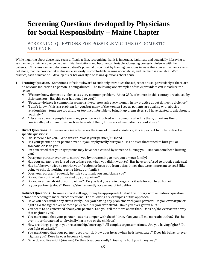## **Screening Questions developed by Physicians for Social Responsibility – Maine Chapter**

SCREENING QUESTIONS FOR POSSIBLE VICTIMS OF DOMESTIC VIOLENCE

While inquiring about abuse may seem difficult at first, recognizing that it is important, legitimate and potentially lifesaving to ask can help clinicians overcome their initial hesitations and become comfortable addressing domestic violence with their patients. Clinicians can help decrease a patient's potential discomfort by framing questions in ways that convey that he or she is not alone, that the provider takes this issue seriously, is comfortable hearing about abuse, and that help is available. With practice, each clinician will develop his or her own style of asking questions about abuse.

- 1. **Framing Question.** Sometimes it feels awkward to suddenly introduce the subject of abuse, particularly if there are no obvious indications a person is being abused. The following are examples of ways providers can introduce the issue:
	- $\cdot$  "We now know domestic violence is a very common problem. About 25% of women in this country are abused by their partners. Has this ever happened to you?"
	- $\bullet$  "Because violence is common in women's lives, I now ask every woman in my practice about domestic violence."
	- $\cdot$  "I don't know if this is a problem for you, but many of the women I see as patients are dealing with abusive relationships. Some are too afraid or too uncomfortable to bring it up themselves, so I have started to ask about it routinely."
	- \* "Because so many people I see in my practice are involved with someone who hits them, threatens them, continually puts them down, or tries to control them, I now ask all my patients about abuse."
- 2. **Direct Questions.** However one initially raises the issue of domestic violence, it is important to include direct and specific questions:
	- $\div$  Did someone hit you? Who was it? Was it your partner/husband?
	- $\dots$  Has your partner or ex-partner ever hit you or physically hurt you? Has he ever threatened to hurt you or someone close to you?
	- $\cdot \cdot$  I'm concerned that your symptoms may have been caused by someone hurting you. Has someone been hurting you?
	- $\bullet$  Does your partner ever try to control you by threatening to hurt you or your family?
	- $\div$  Has your partner ever forced you to have sex when you didn't want to? Has he ever refused to practice safe sex?
	- $\div$  Has he/she ever tried to restrict your freedom or keep you from doing things that were important to you? (like going to school, working, seeing friends or family)
	- $\div$  Does your partner frequently belittle you, insult you, and blame you?
	- Do you feel controlled or isolated by your partner?
	- $\bullet$  Do you ever feel afraid of your partner? Do you feel you are in danger? Is it safe for you to go home?
	- $\cdot$  Is your partner iealous? Does he/she frequently accuse you of infidelity?
- 3. **Indirect Questions**. In some clinical settings, it may be appropriate to start the inquiry with an indirect question before proceeding to more direct questions. The following are examples of this approach.
	- $\div$  Have you been under any stress lately? Are you having any problems with your partner? Do you ever argue or fight? Do the fights ever become physical? Are you ever afraid? Have you ever gotten hurt?
	- ◆ You seem to be concerned about your partner. Can you tell me more about that? Does he/she ever act in a way that frightens you?
	- $\div$  You mentioned that your partner loses his temper with the children. Can you tell me more about that? Has he ever hit or threatened to physically harm you or the children?
	- $\div$  How are things going in your relationship/ marriage? All couples argue sometimes. Are you having fights? Do you fight physically?
	- $\bullet$  You mentioned that your partner uses alcohol. How does he act when he is intoxicated? Does his behavior ever frighten you? Does he ever become violent?
	- $\bullet$  Who do you live with? (Answer) Do they treat you kindly? Does s/he hurt you in any way?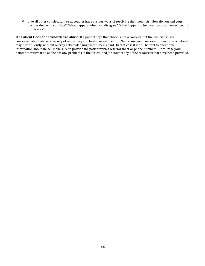$\cdot$  Like all other couples, same-sex couples have various ways of resolving their conflicts. How do you and your partner deal with conflicts? What happens when you disagree? What happens when your partner doesn't get his or her way?

**If a Patient Does Not Acknowledge Abuse:** If a patient says that abuse is not a concern, but the clinician is still concerned about abuse, a variety of issues may still be discussed. Let him/her know your concerns. Sometimes a patient may listen silently, without overtly acknowledging what is being said. In that case it is still helpful to offer some information about abuse. Make sure to provide the patient with a referral sheet or phone numbers. Encourage your patient to return if he or she has any problems in the future, and/or contact any of the resources that have been provided.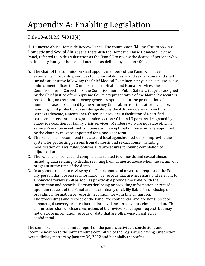# Appendix A: Enabling Legislation

### Title 19-A M.R.S. §4013(4)

4. Domestic Abuse Homicide Review Panel. The commission [Maine Commission on Domestic and Sexual Abusel shall establish the Domestic Abuse Homicide Review Panel, referred to in this subsection as the "Panel," to review the deaths of persons who are killed by family or household member as defined by section 4002.

- A. The chair of the commission shall appoint members of the Panel who have experience in providing services to victims of domestic and sexual abuse and shall include at least the following: the Chief Medical Examiner, a physician, a nurse, a law enforcement officer, the Commissioner of Health and Human Services, the Commissioner of Corrections, the Commissioner of Public Safety, a judge as assigned by the Chief Justice of the Supreme Court, a representative of the Maine Prosecutors Association, an assistant attorney general responsible for the prosecution of homicide cases designated by the Attorney General, an assistant attorney general handling child protection cases designated by the Attorney General, a victimwitness advocate, a mental health service provider, a facilitator of a certified batterers' intervention program under section 4014 and 3 persons designated by a statewide coalition for family crisis services. Members who are not state officials serve a 2-year term without compensation, except that of those initially appointed by the chair,  $\frac{1}{2}$  must be appointed for a one-year term.
- B. The Panel shall recommend to state and local agencies methods of improving the system for protecting persons from domestic and sexual abuse, including modification of laws, rules, policies and procedures following completion of adjudication.
- C. The Panel shall collect and compile data related to domestic and sexual abuse, including data relating to deaths resulting from domestic abuse when the victim was pregnant at the time of the death.
- D. In any case subject to review by the Panel, upon oral or written request of the Panel, any person that possesses information or records that are necessary and relevant to a homicide review shall as soon as practicable provide the Panel with the information and records. Persons disclosing or providing information or records upon the request of the Panel are not criminally or civilly liable for disclosing or providing information or records in compliance with this paragraph.
- E. The proceedings and records of the Panel are confidential and are not subject to subpoena, discovery or introduction into evidence in a civil or criminal action. The commission shall disclose conclusions of the review Panel upon request, but may not disclose information records or data that are otherwise classified as confidential.

The commission shall submit a report on the panel's activities, conclusions and recommendation to the joint standing committee of the Legislature having jurisdiction over judiciary matters by January 30, 2002 and biennially thereafter.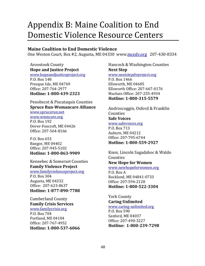## Appendix B: Maine Coalition to End Domestic Violence Resource Centers

#### **Maine Coalition to End Domestic Violence**

One Weston Court, Box #2, Augusta, ME 04330 www.mcedy.org 207-430-8334

#### Aroostook County **Hope and Justice Project**

www.hopeandjusticeproject.org P.O. Box 148 Presque Isle, ME 04769 Office: 207‐764‐2977 **Hotline: 1‐800‐439‐2323**

Penobscot & Piscataquis Counties **Spruce Run‐Womancare Alliance**

www.sprucerun.net

www.wmncare.org P.O. Box 192 Dover-Foxcroft, ME 04426 Office: 207‐564‐8166 

P.O. Box 653 Bangor, ME 04402 Office: 207‐945‐5102 **Hotline: 1‐800‐863‐9909**

Kennebec & Somerset Counties **Family Violence Project**

www.familyviolenceproject.org P.O. Box 304 Augusta, ME 04332 Office: 207-623-8637 **Hotline: 1‐877‐890‐7788**

Cumberland County **Family Crisis Services** www.familycrisis.org P.O. Box 704 Portland, ME 04104 Office: 207‐767‐4952 **Hotline: 1‐800‐537‐6066**

#### Hancock & Washington Counties **Next Step** www.nextstepdvproject.org

P.O. Box 1466 Ellsworth, ME 04605 Ellsworth Office: 207‐667‐0176 Machais Office: 207‐255‐4934 **Hotline: 1‐800‐315‐5579**

Androscoggin, Oxford & Franklin **Counties Safe Voices** www.safevoices.org

P.O. Box 713 Auburn, ME 04212 Office: 207‐795‐6744 **Hotline: 1‐800‐559‐2927**

Knox, Lincoln Sagadahoc & Waldo Counties **New Hope for Women**

www.newhopeforwomen.org P.O. Box A Rockland, ME 04841-0733 Office: 207‐594‐2128 **Hotline: 1‐800‐522‐3304**

York County **Caring Unlimited** www.caring‐unlimited.org

P.O. Box 590 Sanford, ME 04037 Office: 207‐490‐3227 **Hotline: 1‐800‐239‐7298**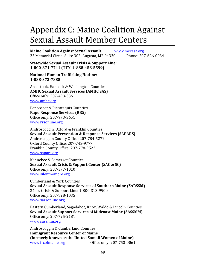## Appendix C: Maine Coalition Against Sexual Assault Member Centers

**Maine Coalition Against Sexual Assault**  www.mecasa.org 25 Memorial Circle, Suite 302, Augusta, ME 04330 Phone: 207-626-0034

**Statewide Sexual Assault Crisis & Support Line: 1‐800‐871‐7741 (TTY: 1‐888‐458‐5599)**

**National Human Trafficking Hotline: 1‐888‐373‐7888**

Aroostook, Hancock & Washington Counties **AMHC Sexual Assault Services (AMHC SAS)** Office only: 207-493-3361 www.amhc.org

Penobscot & Piscataquis Counties **Rape Response Services (RRS)** Office only: 207‐973‐3651 www.rrsonline.org

Androscoggin, Oxford & Franklin Counties **Sexual Assault Prevention & Response Services (SAPARS)** Androscoggin County Office: 207-784-5272 Oxford County Office: 207‐743‐9777 Franklin County Office: 207-778-9522 www.sapars.org

Kennebec & Somerset Counties **Sexual Assault Crisis & Support Center (SAC & SC)** Office only: 207‐377‐1010 www.silentnomore.org

Cumberland & York Counties **Sexual Assault Response Services of Southern Maine (SARSSM)** 24 hr. Crisis & Support Line: 1‐800‐313‐9900 Office only: 207‐828‐1035 www.sarsonline.org 

Eastern Cumberland, Sagadahoc, Knox, Waldo & Lincoln Counties **Sexual Assault Support Services of Midcoast Maine (SASSMM)** Office only: 207‐725‐2181

www.sassmm.org

Androscoggin & Cumberland Counties **Immigrant Resource Center of Maine (formerly known as the United Somali Women of Maine)** www.ircofmaine.org **Office only:** 207-753-0061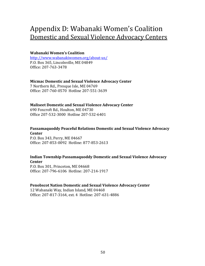## Appendix D: Wabanaki Women's Coalition Domestic and Sexual Violence Advocacy Centers

#### **Wabanaki Women's Coalition**

http://www.wabanakiwomen.org/about‐us/ P.O. Box 365, Lincolnville, ME 04849 Office: 207‐763‐3478 

#### **Micmac Domestic and Sexual Violence Advocacy Center**

7 Northern Rd., Presque Isle, ME 04769 Office: 207‐760‐0570 Hotline 207‐551‐3639 

#### **Maliseet Domestic and Sexual Violence Advocacy Center**

690 Foxcroft Rd., Houlton, ME 04730 Office 207‐532‐3000 Hotline 207‐532‐6401 

#### **Passamaquoddy Peaceful Relations Domestic and Sexual Violence Advocacy Center**

P.O. Box 343, Perry, ME 04667 Office: 207‐853‐0092 Hotline: 877‐853‐2613 

#### **Indian Township Passamaquoddy Domestic and Sexual Violence Advocacy Center**

P.O. Box 301, Princeton, ME 04668 Office: 207‐796‐6106 Hotline: 207‐214‐1917 

#### **Penobscot Nation Domestic and Sexual Violence Advocacy Center**

12 Wabanaki Way, Indian Island, ME 04468 Office: 207-817-3164, ext. 4 Hotline: 207-631-4886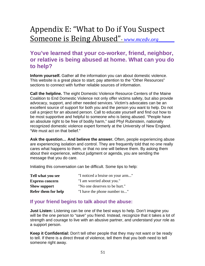## Appendix E: "What to Do if You Suspect Someone is Being Abused" - www.mcedv.org

## **You've learned that your co-worker, friend, neighbor, or relative is being abused at home. What can you do to help?**

**Inform yourself.** Gather all the information you can about domestic violence. This website is a great place to start; pay attention to the "Other Resources" sections to connect with further reliable sources of information.

**Call the helpline.** The eight Domestic Violence Resource Centers of the Maine Coalition to End Domestic Violence not only offer victims safety, but also provide advocacy, support, and other needed services. Victim's advocates can be an excellent source of support for both you and the person you want to help. Do not call a project for an abused person. Call to educate yourself and find out how to be most supportive and helpful to someone who is being abused. "People have an absolute right to be free of bodily harm," said Phyl Rubinstein, nationally recognized domestic violence expert formerly at the University of New England. "We must act on that belief."

**Ask the question… And believe the answer.** Often, people experiencing abuse are experiencing isolation and control. They are frequently told that no one really cares what happens to them, or that no one will believe them. By asking them about their experience, without judgment or agenda, you are sending the message that you do care.

Initiating this conversation can be difficult. Some tips to help:

| Tell what you see      | "I noticed a bruise on your arm" |  |  |  |
|------------------------|----------------------------------|--|--|--|
| <b>Express concern</b> | "I am worried about you."        |  |  |  |
| <b>Show support</b>    | "No one deserves to be hurt."    |  |  |  |
| Refer them for help    | "I have the phone number to"     |  |  |  |

### **If your friend begins to talk about the abuse:**

**Just Listen:** Listening can be one of the best ways to help. Don't imagine you will be the one person to "save" you friend. Instead, recognize that it takes a lot of strength and courage to live with an abusive partner, and understand your role as a support person.

**Keep it Confidential:** Don't tell other people that they may not want or be ready to tell. If there is a direct threat of violence, tell them that you both need to tell someone right away.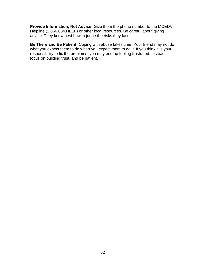**Provide Information, Not Advice:** Give them the phone number to the MCEDV Helpline (1.866.834.HELP) or other local resources. Be careful about giving advice. They know best how to judge the risks they face.

**Be There and Be Patient:** Coping with abuse takes time. Your friend may not do what you expect them to do when you expect them to do it. If you think it is your responsibility to fix the problems, you may end up feeling frustrated. Instead, focus on building trust, and be patient.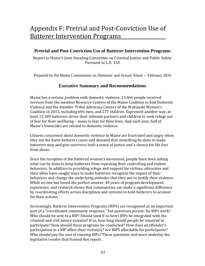## Appendix F: Pretrial and Post-Conviction Use of **Batterer Intervention Programs**

#### **Pretrial and Post-Conviction Use of Batterer Intervention Programs**

Report to Maine's Joint Standing Committee on Criminal Justice and Public Safety Pursuant to L.D. 150

Prepared by the Maine Commission on Domestic and Sexual Abuse -- February 2016

#### **Executive Summary and Recommendations**

Maine has a serious problem with domestic violence. 13,466 people received services from the member Resource Centers of the Maine Coalition to End Domestic Violence and the member Tribal Advocacy Centers of the Wabanaki Women's Coalition in 2015, including 696 men, and 277 children. Expressed another way, at least 13,189 batterers drove their intimate partners and children to seek refuge out of fear for their wellbeing – many in fear for their lives. And each year, half of Maine's homicides are related to domestic violence.

Citizens concerned about domestic violence in Maine are frustrated and angry when they see the harm batterers cause and demand that something be done to make batterers stop and give survivors both a sense of justice and a chance for life free from abuse.

Since the inception of the battered women's movement, people have been asking what can be done to keep batterers from repeating their controlling and violent behaviors. In addition to providing refuge and support for victims, advocates and their allies have sought ways to make batterers recognize the impact of their behaviors and change the underlying attitudes that they use to justify their violence. While no one has found the perfect answer, 40 years of program development, experience, and research shows that communities can make a significant difference by coordinating efforts across disciplines and systems to hold batterers to account for their actions.

Increasingly, Batterer Intervention Programs (BIPs) are recognized as an important part of a "coordinated community response," but questions persist: Do BIPs work? Who should be sent to a BIP? Should (and if so how) BIPs be integrated with the criminal and civil justice systems? If so, how long should people be required to participate? How should these programs be conducted? How does an offender's participation in a BIP affect their victim(s)? Are BIPS affordable for participants? Who should pay the cost of running BIPs? These questions and more underlay the legislative resolve that framed this report.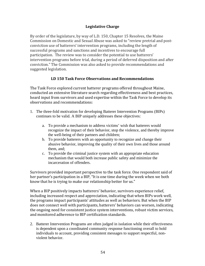#### **Legislative Charge**

By order of the legislature, by way of L.D. 150, Chapter 15 Resolves, the Maine Commission on Domestic and Sexual Abuse was asked to "review pretrial and postconviction use of batterers' intervention programs, including the length of successful programs and sanctions and incentives to encourage full participation. The review was to consider the potential to use batterers' intervention programs before trial, during a period of deferred disposition and after conviction." The Commission was also asked to provide recommendations and suggested legislation.

#### **LD 150 Task Force Observations and Recommendations**

The Task Force explored current batterer programs offered throughout Maine, conducted an extensive literature search regarding effectiveness and best practices, heard input from survivors and used expertise within the Task Force to develop its observations and recommendations:

- 1. The three-fold motivation for developing Batterer Intervention Programs (BIPs) continues to be valid. A BIP uniquely addresses these objectives:
	- a. To provide a mechanism to address victims' wish that batterers would recognize the impact of their behavior, stop the violence, and thereby improve the well-being of their partners and children;
	- b. To provide batterers with an opportunity to recognize and change their abusive behavior, improving the quality of their own lives and those around them, and;
	- c. To provide the criminal justice system with an appropriate education mechanism that would both increase public safety and minimize the incarceration of offenders.

Survivors provided important perspective to the task force. One respondent said of her partner's participation in a BIP, "It is one time during the week when we both know that he is trying to make our relationship better for us."

When a BIP positively impacts batterers' behavior, survivors experience relief, including increased respect and appreciation, indicating that when BIPs work well, the programs impact participants' attitudes as well as behaviors. But when the BIP does not connect well with participants, batterers' behaviors can worsen, indicating the ongoing need for consistent justice system interventions, robust victim services, and monitored adherence to BIP certification standards.

2. Batterer Intervention Programs are often judged in isolation while their effectiveness is dependent upon a coordinated community response functioning overall to hold individuals to account, providing consistent messages to support respectful, nonviolent behavior.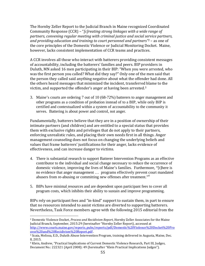The Hornby Zeller Report to the Judicial Branch in Maine recognized Coordinated Community Response (CCR) – "*[c]reating strong linkages with a wide range of partners, convening regular meeting with criminal justice and social service partners, and providing education and training to court personnel and partners"2* – as one of the core principles of the Domestic Violence or Judicial Monitoring Docket. Maine, however, lacks consistent implementation of CCR teams and practices.

A CCR involves all those who interact with batterers providing consistent messages of accountability, including the batterers' families and peers. BIP providers in Duluth, MN asked 16 men participating in their BIP: "When you were arrested, who was the first person you called? What did they say?" Only one of the men said that the person they called said anything negative about what the offender had done. All the others heard messages that minimized the incident, transferred blame to the victim, and supported the offender's anger at having been arrested. $3$ 

3. Maine's courts are ordering 7 out of 10 (68-72%) batterers to anger management and other programs as a condition of probation instead of to a BIP, while only BIP is certified and contextualized within a system of accountability to the community it serves. Battering is about power and control, not anger.

Fundamentally, batterers believe that they are in a position of ownership of their intimate partners (and children) and are entitled to a special status that provides them with exclusive rights and privileges that do not apply to their partners, enforcing unrealistic rules, and placing their own needs first in all things. Anger management counseling does not focus on changing the underlying beliefs and values that frame batterers' justifications for their anger, lacks evidence of effectiveness, and can increase danger to victims.

- 4. There is substantial research to support Batterer Intervention Programs as an effective contributor to the individual and social change necessary to reduce the occurrence of domestic violence, improving the lives of Maine's families. Furthermore, "[t]here is no evidence that anger management … programs effectively prevent court mandated abusers from re-abusing or committing new offenses after treatment."<sup>4</sup>
- 5. BIPs have minimal resources and are dependent upon participant fees to cover all program costs, which inhibits their ability to sustain and improve programming.

BIPs rely on participant fees and "in-kind" support to sustain them, in part to ensure that no resources intended to assist victims are diverted to supporting batterers. Nevertheless, Task Force members agree with the following 2015 editorial from the

 

<sup>&</sup>lt;sup>2</sup> Domestic Violence Docket, *Process and Recidivism Report*, Hornby Zeller Associates for the Maine Judicial Branch, September, 2015:29 (hereinafter "Hornby Zeller Report), accessed at http://www.courts.maine.gov/reports\_pubs/reports/pdf/Domestic%20Violence%20Docket%20Pro cess%20and%20Recidivism%20Report.pdf . 

 $3$  Scaia, Melissa, E.D., Duluth Abuse Intervention Program, training delivered in Augusta, Maine, Dec. 8, 2015. 

<sup>&</sup>lt;sup>4</sup> Klein, Andrew, "Practical Implications of Current Domestic Violence Research, Part III, Judges, Document No.: 222321 (April 2008): 49 (hereinafter "Klein Practical Implications Judges").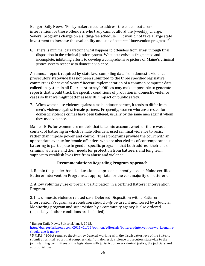Bangor Daily News: "Policymakers need to address the cost of batterers' intervention for those offenders who truly cannot afford the [weekly] charge. Several programs charge on a sliding-fee schedule. ... It would not take a large state investment to increase the availability and use of batterers' intervention programs."<sup>5</sup>

6. There is minimal data tracking what happens to offenders from arrest through final disposition in the criminal justice system. What data exists is fragmented and incomplete, inhibiting efforts to develop a comprehensive picture of Maine's criminal justice system response to domestic violence.

An annual report, required by state law, compiling data from domestic violence prosecutors statewide has not been submitted to the three specified legislative committees for several years.<sup>6</sup> Recent implementation of a common computer data collection system in all District Attorney's Offices may make it possible to generate reports that would track the specific conditions of probation in domestic violence cases so that we might better assess BIP impact on public safety.

7. When women use violence against a male intimate partner, it tends to differ from men's violence against female partners. Frequently, women who are arrested for domestic violence crimes have been battered, usually by the same men against whom they used violence.

Maine's BIPs for women use models that take into account whether there was a context of battering in which female offenders used criminal violence to resist rather than impose power and control. These programs provide the court with an appropriate avenue for female offenders who are also victims of contemporaneous battering to participate in gender specific programs that both address their use of criminal violence and their needs for protection from batterers and long term support to establish lives free from abuse and violence.

#### **Recommendations Regarding Program Approach**

1. Retain the gender-based, educational approach currently used in Maine certified Batterer Intervention Programs as appropriate for the vast majority of batterers.

2. Allow voluntary use of pretrial participation in a certified Batterer Intervention Program. 

3. In a domestic violence related case, Deferred Disposition with a Batterer Intervention Program as a condition should *only* be used if monitored by a Judicial Monitoring program and supervision by a community agency is also ordered (especially if other conditions are included).

 <sup>5</sup> Bangor Daily News, Editorial, Jan. 6, 2015,

http://bangordailynews.com/2015/01/06/opinion/editorials/batterers-intervention-works-maineshould‐use‐it‐more/ 

 $6$  5 M.R.S. §204-A requires the Attorney General, working with the district attorneys of the State, to submit an annual report that compiles data from domestic violence prosecutors statewide to the joint standing committees of the legislature with jurisdiction over criminal justice, the judiciary and appropriations.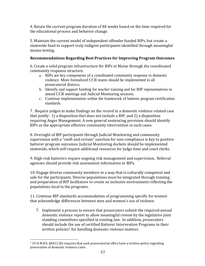4. Retain the current program duration of 48 weeks based on the time required for the educational process and behavior change.

5. Maintain the current model of independent offender funded BIPs, but create a statewide fund to support truly indigent participants identified through meaningful means testing.

#### **Recommendations Regarding Best Practices for Improving Program Outcomes**

6. Create a solid program infrastructure for BIPs in Maine through the coordinated community response structure.

- a. BIPs are key components of a coordinated community response to domestic violence. More formalized CCR teams should be implemented in all prosecutorial districts.
- b. Identify and support funding for teacher training and for BIP representatives to attend CCR meetings and Judicial Monitoring sessions.
- c. Continue implementation within the framework of batterer program certification standards.

7. Require judges to make findings on the record in a domestic violence related case that justify:  $1$ ) a disposition that does not include a BIP; and  $2$ ) a disposition requiring Anger Management. A new general sentencing provision should identify BIPs as the appropriate effective community intervention in such cases.

8. Oversight of BIP participants through Judicial Monitoring and community supervision with a "swift and certain" sanction for non-compliance is key to positive batterer program outcomes. Judicial Monitoring dockets should be implemented statewide, which will require additional resources for judge time and court clerks.

9. High-risk batterers require ongoing risk management and supervision. Referral agencies should provide risk assessment information to BIPs.

10. Engage diverse community members in a way that is culturally competent and safe for the participants. Diverse populations must be integrated through training and preparation of BIP facilitators to create an inclusive environment reflecting the populations local to the programs.

11. Continue BIP standards accommodation of programming specific for women that acknowledge differences between men and women's use of violence

7. Implement a process to ensure that prosecutors submit the required annual domestic violence report to allow meaningful review by the legislative joint standing committees specified in existing law. In addition, prosecutors should include the use of certified Batterer Intervention Programs in their written policies<sup>7</sup> for handling domestic violence matters.

 

 $7$  19-A M.R.S. §4012 (8) requires that each prosecutorial office have a written policy regarding prosecution of domestic violence cases.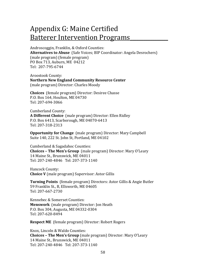## Appendix G: Maine Certified Batterer Intervention Programs

Androscoggin, Franklin, & Oxford Counties: **Alternatives to Abuse** (Safe Voices; BIP Coordinator: Angela Desrochers) (male program) (female program) PO Box 713, Auburn, ME 04212 Tel: 207‐795‐6744 

Aroostook County: **Northern New England Community Resource Center** (male program) Director: Charles Moody

**Choices** (female program) Director: Desiree Chasse P.O. Box 164, Houlton, ME 04730 Tel: 207‐694‐3066 

Cumberland County: **A Different Choice** (male program) Director: Ellen Ridley P.O. Box 6413, Scarborough, ME 04070-6413 Tel: 207‐318‐2313 

**Opportunity for Change** (male program) Director: Mary Campbell Suite 140, 222 St. John St, Portland, ME 04102

Cumberland & Sagadahoc Counties: **Choices** – **The Men's Group** (male program) Director: Mary O'Leary 14 Maine St., Brunswick, ME 04011 Tel: 207-240-4846 Tel: 207-373-1140

Hancock County: **Choice V** (male program) Supervisor: Astor Gillis

**Turning Points** (female program) Directors: Astor Gillis & Angie Butler 59 Franklin St., B, Ellsworth, ME 04605 Tel: 207‐667‐2730 

Kennebec & Somerset Counties: **Menswork** (male program) Director: Jon Heath P.O. Box 304, Augusta, ME 04332-0304 Tel: 207‐620‐8494 

**Respect ME** (female program) Director: Robert Rogers

Knox, Lincoln & Waldo Counties: **Choices – The Men's Group** (male program) Director: Mary O'Leary 14 Maine St., Brunswick, ME 04011 Tel: 207-240-4846 Tel: 207-373-1140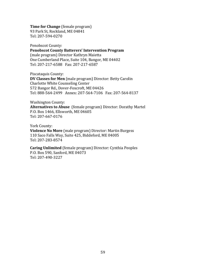**Time for Change** (female program)

93 Park St, Rockland, ME 04841 Tel: 207‐594‐0270 

Penobscot County:

**Penobscot County Batterers' Intervention Program** 

(male program) Director Kathryn Maietta One Cumberland Place, Suite 104, Bangor, ME 04402 Tel: 207-217-6588 Fax: 207-217-6587

Piscataquis County:

**DV Classes for Men** (male program) Director: Betty Carolin Charlotte White Counseling Center 572 Bangor Rd., Dover-Foxcroft, ME 04426 Tel: 888-564-2499 Annex: 207-564-7106 Fax: 207-564-8137

Washington County:

**Alternatives to Abuse** (female program) Director: Dorathy Martel P.O. Box 1466, Ellsworth, ME 04605 Tel: 207‐667‐0176 

York County:

**Violence No More** (male program) Director: Martin Burgess 110 Saco Falls Way, Suite 425, Biddeford, ME 04005 Tel: 207‐283‐8574 

**Caring Unlimited** (female program) Director: Cynthia Peoples P.O. Box 590, Sanford, ME 04073 Tel: 207‐490‐3227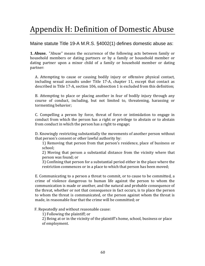## Appendix H: Definition of Domestic Abuse

Maine statute Title 19-A M.R.S. §4002(1) defines domestic abuse as:

**1. Abuse.** "Abuse" means the occurrence of the following acts between family or household members or dating partners or by a family or household member or dating partner upon a minor child of a family or household member or dating partner: 

A. Attempting to cause or causing bodily injury or offensive physical contact, including sexual assaults under Title 17-A, chapter 11, except that contact as described in Title 17-A, section 106, subsection 1 is excluded from this definition;

B. Attempting to place or placing another in fear of bodily injury through any course of conduct, including, but not limited to, threatening, harassing or tormenting behavior;

C. Compelling a person by force, threat of force or intimidation to engage in conduct from which the person has a right or privilege to abstain or to abstain from conduct in which the person has a right to engage;

D. Knowingly restricting substantially the movements of another person without that person's consent or other lawful authority by:

1) Removing that person from that person's residence, place of business or school; 

2) Moving that person a substantial distance from the vicinity where that person was found; or

3) Confining that person for a substantial period either in the place where the restriction commences or in a place to which that person has been moved;

E. Communicating to a person a threat to commit, or to cause to be committed, a crime of violence dangerous to human life against the person to whom the communication is made or another, and the natural and probable consequence of the threat, whether or not that consequence in fact occurs, is to place the person to whom the threat is communicated, or the person against whom the threat is made, in reasonable fear that the crime will be committed; or

F. Repeatedly and without reasonable cause:

1) Following the plaintiff; or

2) Being at or in the vicinity of the plaintiff's home, school, business or place of employment.